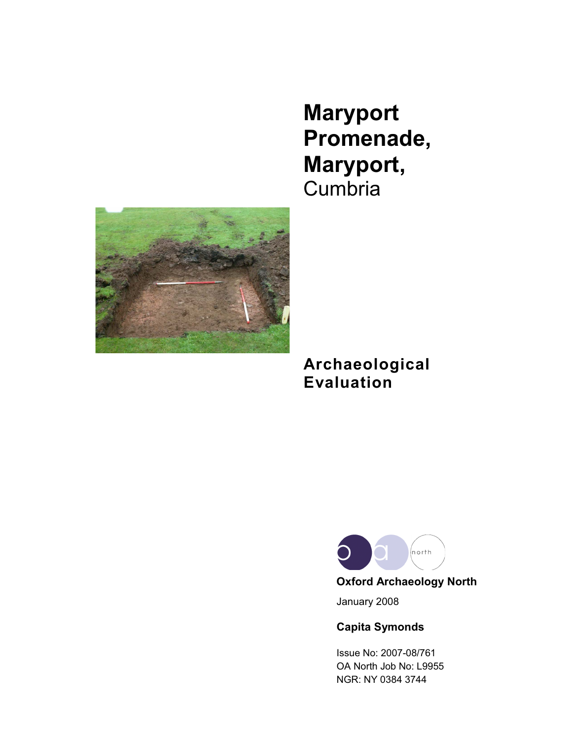**Maryport Promenade, Maryport,** Cumbria



# **Archaeological Evaluation**



January 2008

**Capita Symonds**

Issue No: 2007-08/761 OA North Job No: L9955 NGR: NY 0384 3744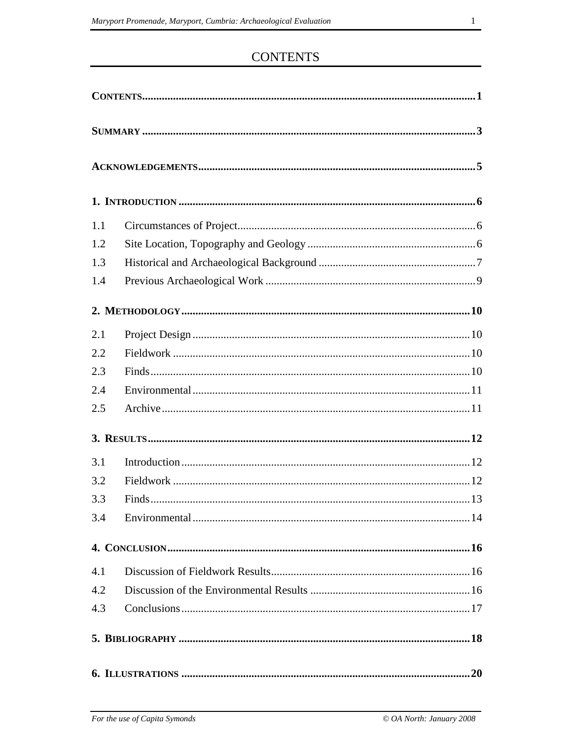# **CONTENTS**

| 1.1 |     |  |  |  |
|-----|-----|--|--|--|
| 1.2 |     |  |  |  |
| 1.3 |     |  |  |  |
| 1.4 |     |  |  |  |
|     |     |  |  |  |
| 2.1 |     |  |  |  |
| 2.2 |     |  |  |  |
| 2.3 |     |  |  |  |
| 2.4 |     |  |  |  |
| 2.5 |     |  |  |  |
|     |     |  |  |  |
| 3.1 |     |  |  |  |
| 3.2 |     |  |  |  |
| 3.3 |     |  |  |  |
| 3.4 |     |  |  |  |
|     |     |  |  |  |
| 4.1 |     |  |  |  |
| 4.2 |     |  |  |  |
| 4.3 |     |  |  |  |
|     |     |  |  |  |
|     | .20 |  |  |  |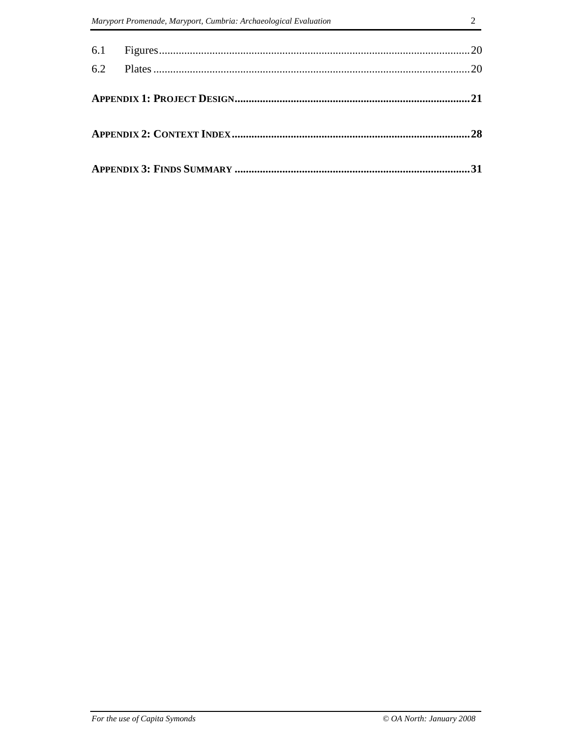|  | 28 |
|--|----|
|  |    |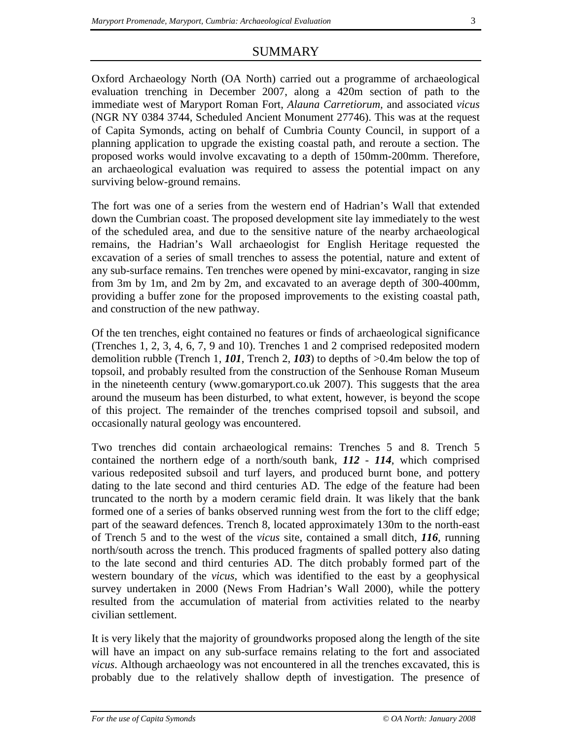## SUMMARY

Oxford Archaeology North (OA North) carried out a programme of archaeological evaluation trenching in December 2007, along a 420m section of path to the immediate west of Maryport Roman Fort, *Alauna Carretiorum,* and associated *vicus* (NGR NY 0384 3744, Scheduled Ancient Monument 27746). This was at the request of Capita Symonds, acting on behalf of Cumbria County Council, in support of a planning application to upgrade the existing coastal path, and reroute a section. The proposed works would involve excavating to a depth of 150mm-200mm. Therefore, an archaeological evaluation was required to assess the potential impact on any surviving below-ground remains.

The fort was one of a series from the western end of Hadrian's Wall that extended down the Cumbrian coast. The proposed development site lay immediately to the west of the scheduled area, and due to the sensitive nature of the nearby archaeological remains, the Hadrian's Wall archaeologist for English Heritage requested the excavation of a series of small trenches to assess the potential, nature and extent of any sub-surface remains. Ten trenches were opened by mini-excavator, ranging in size from 3m by 1m, and 2m by 2m, and excavated to an average depth of 300-400mm, providing a buffer zone for the proposed improvements to the existing coastal path, and construction of the new pathway.

Of the ten trenches, eight contained no features or finds of archaeological significance (Trenches 1, 2, 3, 4, 6, 7, 9 and 10). Trenches 1 and 2 comprised redeposited modern demolition rubble (Trench 1, *101*, Trench 2, *103*) to depths of >0.4m below the top of topsoil, and probably resulted from the construction of the Senhouse Roman Museum in the nineteenth century (www.gomaryport.co.uk 2007). This suggests that the area around the museum has been disturbed, to what extent, however, is beyond the scope of this project. The remainder of the trenches comprised topsoil and subsoil, and occasionally natural geology was encountered.

Two trenches did contain archaeological remains: Trenches 5 and 8. Trench 5 contained the northern edge of a north/south bank, *112* - *114*, which comprised various redeposited subsoil and turf layers, and produced burnt bone, and pottery dating to the late second and third centuries AD. The edge of the feature had been truncated to the north by a modern ceramic field drain. It was likely that the bank formed one of a series of banks observed running west from the fort to the cliff edge; part of the seaward defences. Trench 8, located approximately 130m to the north-east of Trench 5 and to the west of the *vicus* site, contained a small ditch, *116*, running north/south across the trench. This produced fragments of spalled pottery also dating to the late second and third centuries AD. The ditch probably formed part of the western boundary of the *vicus*, which was identified to the east by a geophysical survey undertaken in 2000 (News From Hadrian's Wall 2000), while the pottery resulted from the accumulation of material from activities related to the nearby civilian settlement.

It is very likely that the majority of groundworks proposed along the length of the site will have an impact on any sub-surface remains relating to the fort and associated *vicus*. Although archaeology was not encountered in all the trenches excavated, this is probably due to the relatively shallow depth of investigation. The presence of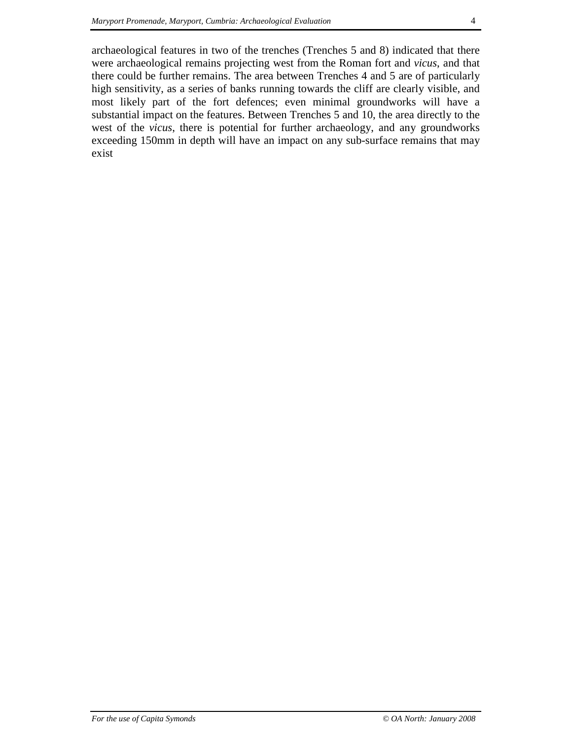archaeological features in two of the trenches (Trenches 5 and 8) indicated that there were archaeological remains projecting west from the Roman fort and *vicus*, and that there could be further remains. The area between Trenches 4 and 5 are of particularly high sensitivity, as a series of banks running towards the cliff are clearly visible, and most likely part of the fort defences; even minimal groundworks will have a substantial impact on the features. Between Trenches 5 and 10, the area directly to the west of the *vicus*, there is potential for further archaeology, and any groundworks exceeding 150mm in depth will have an impact on any sub-surface remains that may exist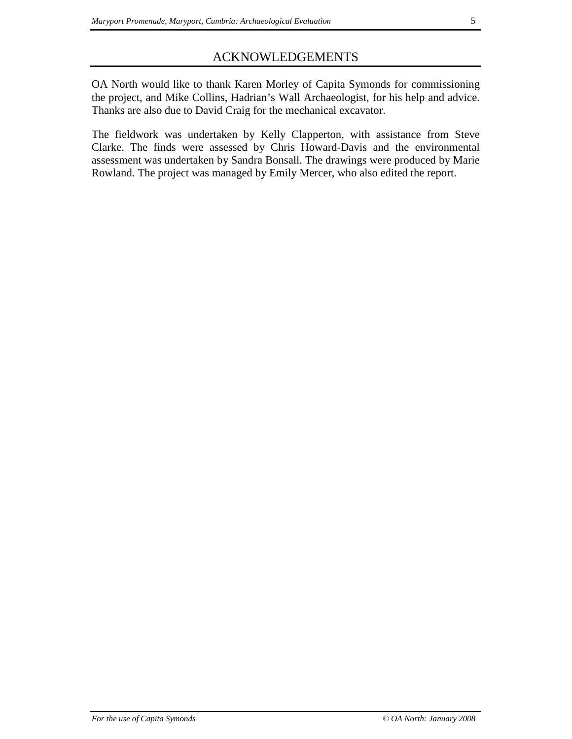## ACKNOWLEDGEMENTS

OA North would like to thank Karen Morley of Capita Symonds for commissioning the project, and Mike Collins, Hadrian's Wall Archaeologist, for his help and advice. Thanks are also due to David Craig for the mechanical excavator.

The fieldwork was undertaken by Kelly Clapperton, with assistance from Steve Clarke. The finds were assessed by Chris Howard-Davis and the environmental assessment was undertaken by Sandra Bonsall. The drawings were produced by Marie Rowland. The project was managed by Emily Mercer, who also edited the report.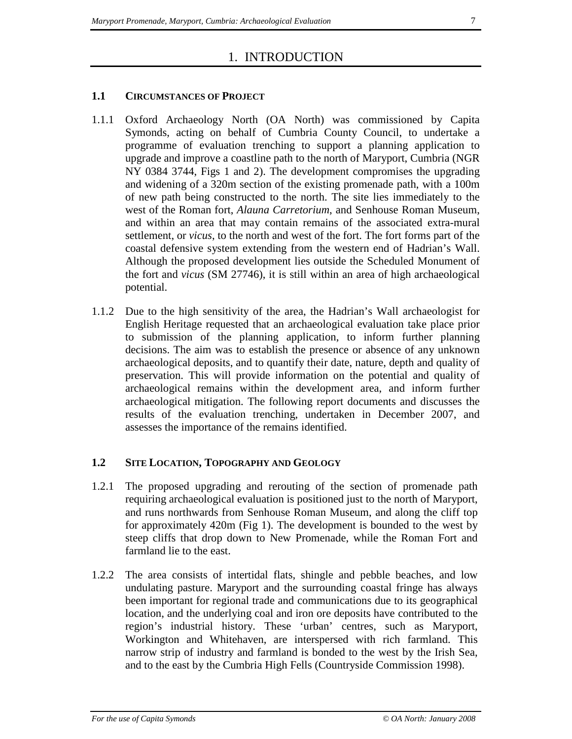## 1. INTRODUCTION

### **1.1 CIRCUMSTANCES OF PROJECT**

- 1.1.1 Oxford Archaeology North (OA North) was commissioned by Capita Symonds, acting on behalf of Cumbria County Council, to undertake a programme of evaluation trenching to support a planning application to upgrade and improve a coastline path to the north of Maryport, Cumbria (NGR NY 0384 3744, Figs 1 and 2). The development compromises the upgrading and widening of a 320m section of the existing promenade path, with a 100m of new path being constructed to the north. The site lies immediately to the west of the Roman fort, *Alauna Carretorium*, and Senhouse Roman Museum, and within an area that may contain remains of the associated extra-mural settlement, or *vicus*, to the north and west of the fort. The fort forms part of the coastal defensive system extending from the western end of Hadrian's Wall. Although the proposed development lies outside the Scheduled Monument of the fort and *vicus* (SM 27746), it is still within an area of high archaeological potential.
- 1.1.2 Due to the high sensitivity of the area, the Hadrian's Wall archaeologist for English Heritage requested that an archaeological evaluation take place prior to submission of the planning application, to inform further planning decisions. The aim was to establish the presence or absence of any unknown archaeological deposits, and to quantify their date, nature, depth and quality of preservation. This will provide information on the potential and quality of archaeological remains within the development area, and inform further archaeological mitigation. The following report documents and discusses the results of the evaluation trenching, undertaken in December 2007, and assesses the importance of the remains identified.

## **1.2 SITE LOCATION, TOPOGRAPHY AND GEOLOGY**

- 1.2.1 The proposed upgrading and rerouting of the section of promenade path requiring archaeological evaluation is positioned just to the north of Maryport, and runs northwards from Senhouse Roman Museum, and along the cliff top for approximately 420m (Fig 1). The development is bounded to the west by steep cliffs that drop down to New Promenade, while the Roman Fort and farmland lie to the east.
- 1.2.2 The area consists of intertidal flats, shingle and pebble beaches, and low undulating pasture. Maryport and the surrounding coastal fringe has always been important for regional trade and communications due to its geographical location, and the underlying coal and iron ore deposits have contributed to the region's industrial history. These 'urban' centres, such as Maryport, Workington and Whitehaven, are interspersed with rich farmland. This narrow strip of industry and farmland is bonded to the west by the Irish Sea, and to the east by the Cumbria High Fells (Countryside Commission 1998).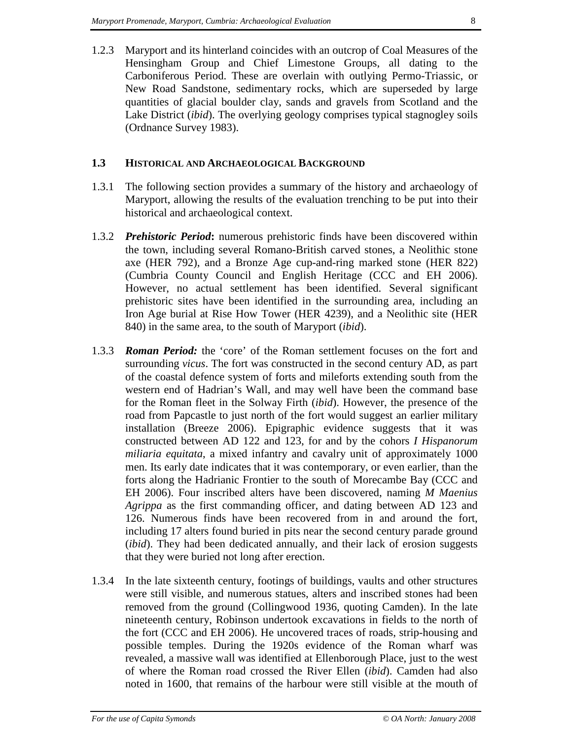1.2.3 Maryport and its hinterland coincides with an outcrop of Coal Measures of the Hensingham Group and Chief Limestone Groups, all dating to the Carboniferous Period. These are overlain with outlying Permo-Triassic, or New Road Sandstone, sedimentary rocks, which are superseded by large quantities of glacial boulder clay, sands and gravels from Scotland and the Lake District (*ibid*). The overlying geology comprises typical stagnogley soils (Ordnance Survey 1983).

### **1.3 HISTORICAL AND ARCHAEOLOGICAL BACKGROUND**

- 1.3.1 The following section provides a summary of the history and archaeology of Maryport, allowing the results of the evaluation trenching to be put into their historical and archaeological context.
- 1.3.2 *Prehistoric Period***:** numerous prehistoric finds have been discovered within the town, including several Romano-British carved stones, a Neolithic stone axe (HER 792), and a Bronze Age cup-and-ring marked stone (HER 822) (Cumbria County Council and English Heritage (CCC and EH 2006). However, no actual settlement has been identified. Several significant prehistoric sites have been identified in the surrounding area, including an Iron Age burial at Rise How Tower (HER 4239), and a Neolithic site (HER 840) in the same area, to the south of Maryport (*ibid*).
- 1.3.3 *Roman Period:* the 'core' of the Roman settlement focuses on the fort and surrounding *vicus*. The fort was constructed in the second century AD, as part of the coastal defence system of forts and mileforts extending south from the western end of Hadrian's Wall, and may well have been the command base for the Roman fleet in the Solway Firth (*ibid*). However, the presence of the road from Papcastle to just north of the fort would suggest an earlier military installation (Breeze 2006). Epigraphic evidence suggests that it was constructed between AD 122 and 123, for and by the cohors *I Hispanorum miliaria equitata*, a mixed infantry and cavalry unit of approximately 1000 men. Its early date indicates that it was contemporary, or even earlier, than the forts along the Hadrianic Frontier to the south of Morecambe Bay (CCC and EH 2006). Four inscribed alters have been discovered, naming *M Maenius Agrippa* as the first commanding officer, and dating between AD 123 and 126. Numerous finds have been recovered from in and around the fort, including 17 alters found buried in pits near the second century parade ground (*ibid*). They had been dedicated annually, and their lack of erosion suggests that they were buried not long after erection.
- 1.3.4 In the late sixteenth century, footings of buildings, vaults and other structures were still visible, and numerous statues, alters and inscribed stones had been removed from the ground (Collingwood 1936, quoting Camden). In the late nineteenth century, Robinson undertook excavations in fields to the north of the fort (CCC and EH 2006). He uncovered traces of roads, strip-housing and possible temples. During the 1920s evidence of the Roman wharf was revealed, a massive wall was identified at Ellenborough Place, just to the west of where the Roman road crossed the River Ellen (*ibid*). Camden had also noted in 1600, that remains of the harbour were still visible at the mouth of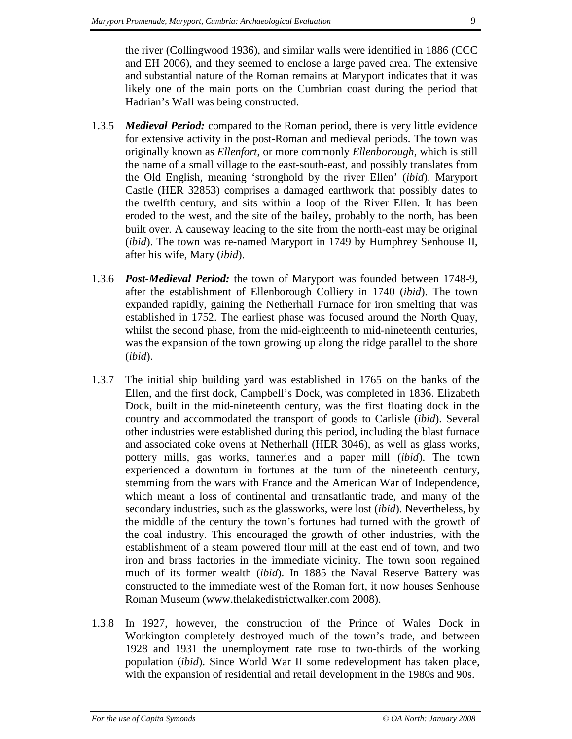the river (Collingwood 1936), and similar walls were identified in 1886 (CCC and EH 2006), and they seemed to enclose a large paved area. The extensive and substantial nature of the Roman remains at Maryport indicates that it was likely one of the main ports on the Cumbrian coast during the period that Hadrian's Wall was being constructed.

- 1.3.5 *Medieval Period:* compared to the Roman period, there is very little evidence for extensive activity in the post-Roman and medieval periods. The town was originally known as *Ellenfort*, or more commonly *Ellenborough*, which is still the name of a small village to the east-south-east, and possibly translates from the Old English, meaning 'stronghold by the river Ellen' (*ibid*). Maryport Castle (HER 32853) comprises a damaged earthwork that possibly dates to the twelfth century, and sits within a loop of the River Ellen. It has been eroded to the west, and the site of the bailey, probably to the north, has been built over. A causeway leading to the site from the north-east may be original (*ibid*). The town was re-named Maryport in 1749 by Humphrey Senhouse II, after his wife, Mary (*ibid*).
- 1.3.6 *Post-Medieval Period:* the town of Maryport was founded between 1748-9, after the establishment of Ellenborough Colliery in 1740 (*ibid*). The town expanded rapidly, gaining the Netherhall Furnace for iron smelting that was established in 1752. The earliest phase was focused around the North Quay, whilst the second phase, from the mid-eighteenth to mid-nineteenth centuries, was the expansion of the town growing up along the ridge parallel to the shore (*ibid*).
- 1.3.7 The initial ship building yard was established in 1765 on the banks of the Ellen, and the first dock, Campbell's Dock, was completed in 1836. Elizabeth Dock, built in the mid-nineteenth century, was the first floating dock in the country and accommodated the transport of goods to Carlisle (*ibid*). Several other industries were established during this period, including the blast furnace and associated coke ovens at Netherhall (HER 3046), as well as glass works, pottery mills, gas works, tanneries and a paper mill (*ibid*). The town experienced a downturn in fortunes at the turn of the nineteenth century, stemming from the wars with France and the American War of Independence, which meant a loss of continental and transatlantic trade, and many of the secondary industries, such as the glassworks, were lost (*ibid*). Nevertheless, by the middle of the century the town's fortunes had turned with the growth of the coal industry. This encouraged the growth of other industries, with the establishment of a steam powered flour mill at the east end of town, and two iron and brass factories in the immediate vicinity. The town soon regained much of its former wealth (*ibid*). In 1885 the Naval Reserve Battery was constructed to the immediate west of the Roman fort, it now houses Senhouse Roman Museum (www.thelakedistrictwalker.com 2008).
- 1.3.8 In 1927, however, the construction of the Prince of Wales Dock in Workington completely destroyed much of the town's trade, and between 1928 and 1931 the unemployment rate rose to two-thirds of the working population (*ibid*). Since World War II some redevelopment has taken place, with the expansion of residential and retail development in the 1980s and 90s.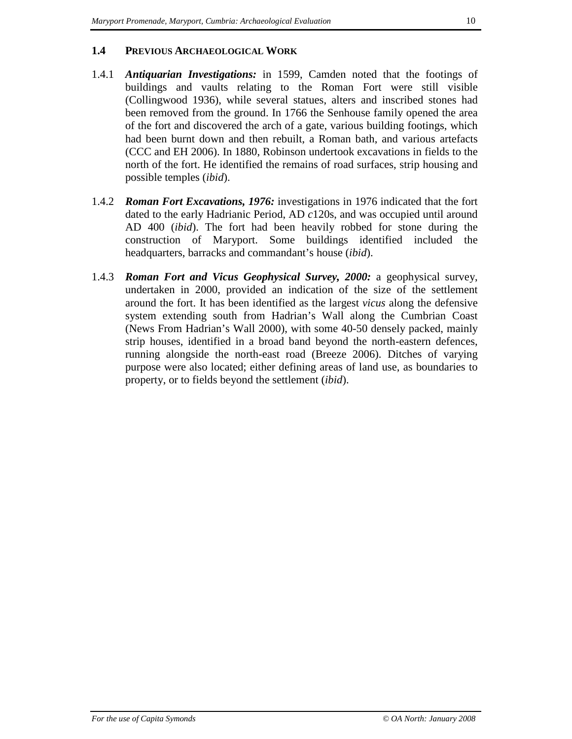## **1.4 PREVIOUS ARCHAEOLOGICAL WORK**

- 1.4.1 *Antiquarian Investigations:* in 1599, Camden noted that the footings of buildings and vaults relating to the Roman Fort were still visible (Collingwood 1936), while several statues, alters and inscribed stones had been removed from the ground. In 1766 the Senhouse family opened the area of the fort and discovered the arch of a gate, various building footings, which had been burnt down and then rebuilt, a Roman bath, and various artefacts (CCC and EH 2006). In 1880, Robinson undertook excavations in fields to the north of the fort. He identified the remains of road surfaces, strip housing and possible temples (*ibid*).
- 1.4.2 *Roman Fort Excavations, 1976:* investigations in 1976 indicated that the fort dated to the early Hadrianic Period, AD *c*120s, and was occupied until around AD 400 (*ibid*). The fort had been heavily robbed for stone during the construction of Maryport. Some buildings identified included the headquarters, barracks and commandant's house (*ibid*).
- 1.4.3 *Roman Fort and Vicus Geophysical Survey, 2000:* a geophysical survey, undertaken in 2000, provided an indication of the size of the settlement around the fort. It has been identified as the largest *vicus* along the defensive system extending south from Hadrian's Wall along the Cumbrian Coast (News From Hadrian's Wall 2000), with some 40-50 densely packed, mainly strip houses, identified in a broad band beyond the north-eastern defences, running alongside the north-east road (Breeze 2006). Ditches of varying purpose were also located; either defining areas of land use, as boundaries to property, or to fields beyond the settlement (*ibid*).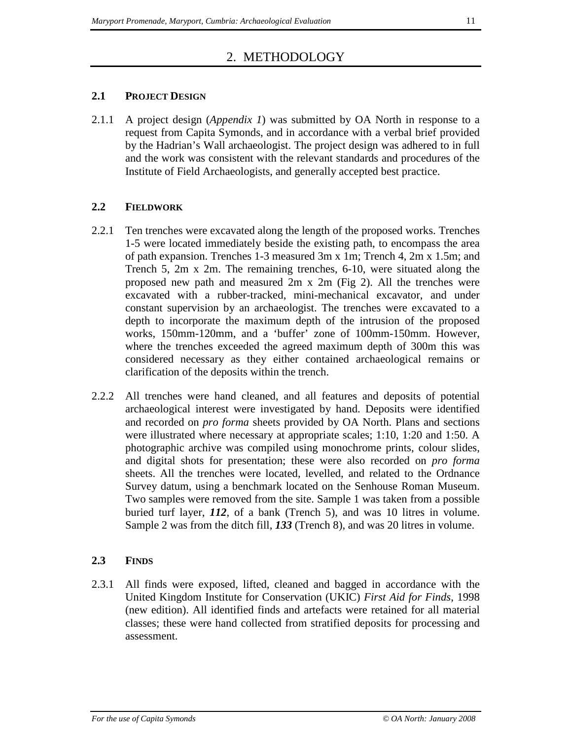## 2. METHODOLOGY

## **2.1 PROJECT DESIGN**

2.1.1 A project design (*Appendix 1*) was submitted by OA North in response to a request from Capita Symonds, and in accordance with a verbal brief provided by the Hadrian's Wall archaeologist. The project design was adhered to in full and the work was consistent with the relevant standards and procedures of the Institute of Field Archaeologists, and generally accepted best practice.

## **2.2 FIELDWORK**

- 2.2.1 Ten trenches were excavated along the length of the proposed works. Trenches 1-5 were located immediately beside the existing path, to encompass the area of path expansion. Trenches 1-3 measured 3m x 1m; Trench 4, 2m x 1.5m; and Trench 5, 2m x 2m. The remaining trenches, 6-10, were situated along the proposed new path and measured 2m x 2m (Fig 2). All the trenches were excavated with a rubber-tracked, mini-mechanical excavator, and under constant supervision by an archaeologist. The trenches were excavated to a depth to incorporate the maximum depth of the intrusion of the proposed works, 150mm-120mm, and a 'buffer' zone of 100mm-150mm. However, where the trenches exceeded the agreed maximum depth of 300m this was considered necessary as they either contained archaeological remains or clarification of the deposits within the trench.
- 2.2.2 All trenches were hand cleaned, and all features and deposits of potential archaeological interest were investigated by hand. Deposits were identified and recorded on *pro forma* sheets provided by OA North. Plans and sections were illustrated where necessary at appropriate scales; 1:10, 1:20 and 1:50. A photographic archive was compiled using monochrome prints, colour slides, and digital shots for presentation; these were also recorded on *pro forma* sheets. All the trenches were located, levelled, and related to the Ordnance Survey datum, using a benchmark located on the Senhouse Roman Museum. Two samples were removed from the site. Sample 1 was taken from a possible buried turf layer, *112*, of a bank (Trench 5), and was 10 litres in volume. Sample 2 was from the ditch fill, *133* (Trench 8), and was 20 litres in volume.

## **2.3 FINDS**

2.3.1 All finds were exposed, lifted, cleaned and bagged in accordance with the United Kingdom Institute for Conservation (UKIC) *First Aid for Finds*, 1998 (new edition). All identified finds and artefacts were retained for all material classes; these were hand collected from stratified deposits for processing and assessment.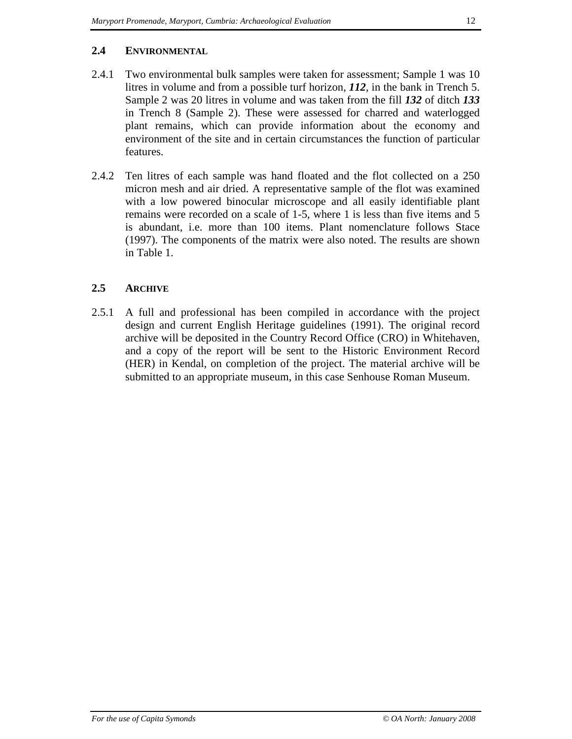### **2.4 ENVIRONMENTAL**

- 2.4.1 Two environmental bulk samples were taken for assessment; Sample 1 was 10 litres in volume and from a possible turf horizon, *112*, in the bank in Trench 5. Sample 2 was 20 litres in volume and was taken from the fill *132* of ditch *133* in Trench 8 (Sample 2). These were assessed for charred and waterlogged plant remains, which can provide information about the economy and environment of the site and in certain circumstances the function of particular features.
- 2.4.2 Ten litres of each sample was hand floated and the flot collected on a 250 micron mesh and air dried. A representative sample of the flot was examined with a low powered binocular microscope and all easily identifiable plant remains were recorded on a scale of 1-5, where 1 is less than five items and 5 is abundant, i.e. more than 100 items. Plant nomenclature follows Stace (1997). The components of the matrix were also noted. The results are shown in Table 1.

## **2.5 ARCHIVE**

2.5.1 A full and professional has been compiled in accordance with the project design and current English Heritage guidelines (1991). The original record archive will be deposited in the Country Record Office (CRO) in Whitehaven, and a copy of the report will be sent to the Historic Environment Record (HER) in Kendal, on completion of the project. The material archive will be submitted to an appropriate museum, in this case Senhouse Roman Museum.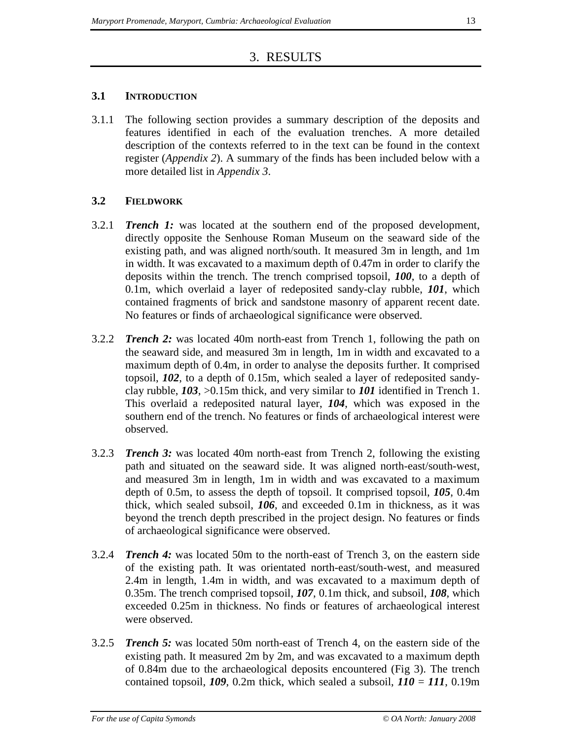## 3. RESULTS

## **3.1 INTRODUCTION**

3.1.1 The following section provides a summary description of the deposits and features identified in each of the evaluation trenches. A more detailed description of the contexts referred to in the text can be found in the context register (*Appendix 2*). A summary of the finds has been included below with a more detailed list in *Appendix 3*.

## **3.2 FIELDWORK**

- 3.2.1 *Trench 1:* was located at the southern end of the proposed development, directly opposite the Senhouse Roman Museum on the seaward side of the existing path, and was aligned north/south. It measured 3m in length, and 1m in width. It was excavated to a maximum depth of 0.47m in order to clarify the deposits within the trench. The trench comprised topsoil, *100*, to a depth of 0.1m, which overlaid a layer of redeposited sandy-clay rubble, *101*, which contained fragments of brick and sandstone masonry of apparent recent date. No features or finds of archaeological significance were observed.
- 3.2.2 *Trench 2:* was located 40m north-east from Trench 1, following the path on the seaward side, and measured 3m in length, 1m in width and excavated to a maximum depth of 0.4m, in order to analyse the deposits further. It comprised topsoil, *102*, to a depth of 0.15m, which sealed a layer of redeposited sandyclay rubble, *103*, >0.15m thick, and very similar to *101* identified in Trench 1. This overlaid a redeposited natural layer, *104*, which was exposed in the southern end of the trench. No features or finds of archaeological interest were observed.
- 3.2.3 *Trench 3:* was located 40m north-east from Trench 2, following the existing path and situated on the seaward side. It was aligned north-east/south-west, and measured 3m in length, 1m in width and was excavated to a maximum depth of 0.5m, to assess the depth of topsoil. It comprised topsoil, *105*, 0.4m thick, which sealed subsoil, *106*, and exceeded 0.1m in thickness, as it was beyond the trench depth prescribed in the project design. No features or finds of archaeological significance were observed.
- 3.2.4 *Trench 4:* was located 50m to the north-east of Trench 3, on the eastern side of the existing path. It was orientated north-east/south-west, and measured 2.4m in length, 1.4m in width, and was excavated to a maximum depth of 0.35m. The trench comprised topsoil, *107*, 0.1m thick, and subsoil, *108*, which exceeded 0.25m in thickness. No finds or features of archaeological interest were observed.
- 3.2.5 *Trench 5:* was located 50m north-east of Trench 4, on the eastern side of the existing path. It measured 2m by 2m, and was excavated to a maximum depth of 0.84m due to the archaeological deposits encountered (Fig 3). The trench contained topsoil,  $109$ , 0.2m thick, which sealed a subsoil,  $110 = 111$ , 0.19m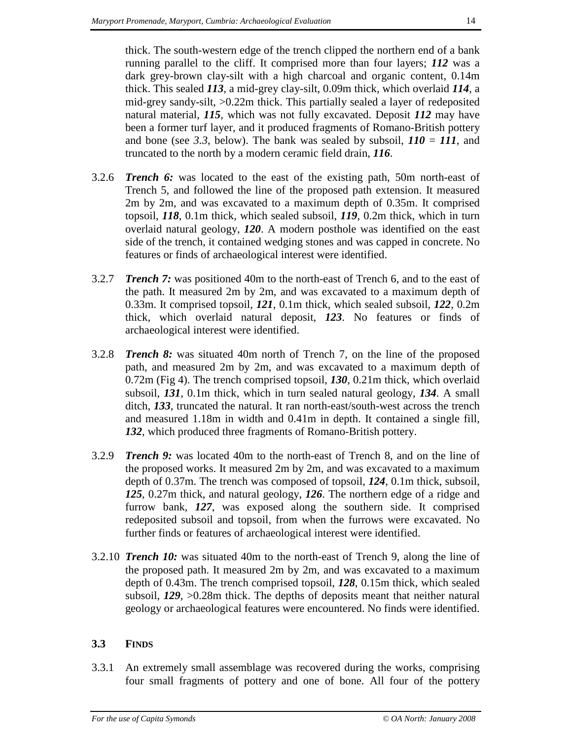thick. The south-western edge of the trench clipped the northern end of a bank running parallel to the cliff. It comprised more than four layers; *112* was a dark grey-brown clay-silt with a high charcoal and organic content, 0.14m thick. This sealed *113*, a mid-grey clay-silt, 0.09m thick, which overlaid *114*, a mid-grey sandy-silt, >0.22m thick. This partially sealed a layer of redeposited natural material, *115*, which was not fully excavated. Deposit *112* may have been a former turf layer, and it produced fragments of Romano-British pottery and bone (see 3.3, below). The bank was sealed by subsoil,  $110 = 111$ , and truncated to the north by a modern ceramic field drain, *116*.

- 3.2.6 *Trench 6:* was located to the east of the existing path, 50m north-east of Trench 5, and followed the line of the proposed path extension. It measured 2m by 2m, and was excavated to a maximum depth of 0.35m. It comprised topsoil, *118*, 0.1m thick, which sealed subsoil, *119*, 0.2m thick, which in turn overlaid natural geology, *120*. A modern posthole was identified on the east side of the trench, it contained wedging stones and was capped in concrete. No features or finds of archaeological interest were identified.
- 3.2.7 *Trench 7:* was positioned 40m to the north-east of Trench 6, and to the east of the path. It measured 2m by 2m, and was excavated to a maximum depth of 0.33m. It comprised topsoil, *121*, 0.1m thick, which sealed subsoil, *122*, 0.2m thick, which overlaid natural deposit, *123*. No features or finds of archaeological interest were identified.
- 3.2.8 *Trench 8:* was situated 40m north of Trench 7, on the line of the proposed path, and measured 2m by 2m, and was excavated to a maximum depth of 0.72m (Fig 4). The trench comprised topsoil, *130*, 0.21m thick, which overlaid subsoil, *131*, 0.1m thick, which in turn sealed natural geology, *134*. A small ditch, *133*, truncated the natural. It ran north-east/south-west across the trench and measured 1.18m in width and 0.41m in depth. It contained a single fill, *132*, which produced three fragments of Romano-British pottery.
- 3.2.9 *Trench 9:* was located 40m to the north-east of Trench 8, and on the line of the proposed works. It measured 2m by 2m, and was excavated to a maximum depth of 0.37m. The trench was composed of topsoil, *124*, 0.1m thick, subsoil, *125*, 0.27m thick, and natural geology, *126*. The northern edge of a ridge and furrow bank, *127*, was exposed along the southern side. It comprised redeposited subsoil and topsoil, from when the furrows were excavated. No further finds or features of archaeological interest were identified.
- 3.2.10 *Trench 10:* was situated 40m to the north-east of Trench 9, along the line of the proposed path. It measured 2m by 2m, and was excavated to a maximum depth of 0.43m. The trench comprised topsoil, *128*, 0.15m thick, which sealed subsoil, *129*, >0.28m thick. The depths of deposits meant that neither natural geology or archaeological features were encountered. No finds were identified.

## **3.3 FINDS**

3.3.1 An extremely small assemblage was recovered during the works, comprising four small fragments of pottery and one of bone. All four of the pottery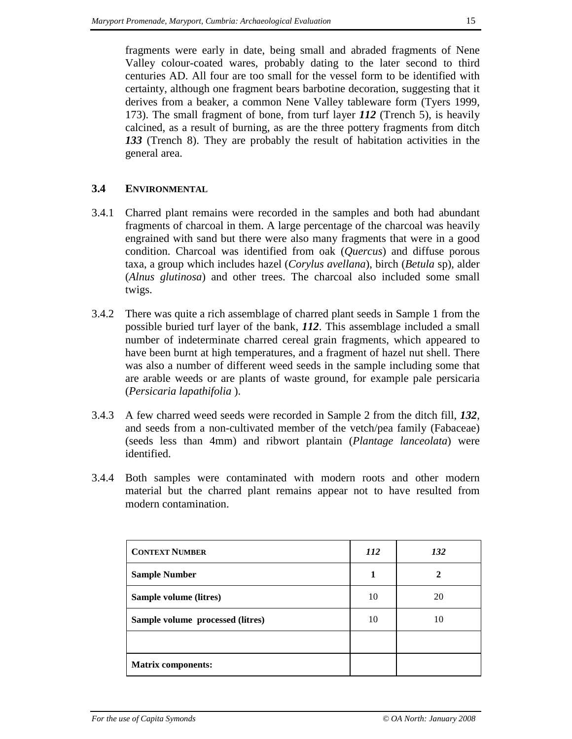fragments were early in date, being small and abraded fragments of Nene Valley colour-coated wares, probably dating to the later second to third centuries AD. All four are too small for the vessel form to be identified with certainty, although one fragment bears barbotine decoration, suggesting that it derives from a beaker, a common Nene Valley tableware form (Tyers 1999, 173). The small fragment of bone, from turf layer *112* (Trench 5), is heavily calcined, as a result of burning, as are the three pottery fragments from ditch *133* (Trench 8). They are probably the result of habitation activities in the general area.

## **3.4 ENVIRONMENTAL**

- 3.4.1 Charred plant remains were recorded in the samples and both had abundant fragments of charcoal in them. A large percentage of the charcoal was heavily engrained with sand but there were also many fragments that were in a good condition. Charcoal was identified from oak (*Quercus*) and diffuse porous taxa, a group which includes hazel (*Corylus avellana*), birch (*Betula* sp), alder (*Alnus glutinosa*) and other trees. The charcoal also included some small twigs.
- 3.4.2 There was quite a rich assemblage of charred plant seeds in Sample 1 from the possible buried turf layer of the bank, *112*. This assemblage included a small number of indeterminate charred cereal grain fragments, which appeared to have been burnt at high temperatures, and a fragment of hazel nut shell. There was also a number of different weed seeds in the sample including some that are arable weeds or are plants of waste ground, for example pale persicaria (*Persicaria lapathifolia* ).
- 3.4.3 A few charred weed seeds were recorded in Sample 2 from the ditch fill, *132*, and seeds from a non-cultivated member of the vetch/pea family (Fabaceae) (seeds less than 4mm) and ribwort plantain (*Plantage lanceolata*) were identified.
- 3.4.4 Both samples were contaminated with modern roots and other modern material but the charred plant remains appear not to have resulted from modern contamination.

| <b>CONTEXT NUMBER</b>            | <i>112</i> | 132          |
|----------------------------------|------------|--------------|
| <b>Sample Number</b>             | 1          | $\mathbf{2}$ |
| Sample volume (litres)           | 10         | 20           |
| Sample volume processed (litres) | 10         | 10           |
|                                  |            |              |
| <b>Matrix components:</b>        |            |              |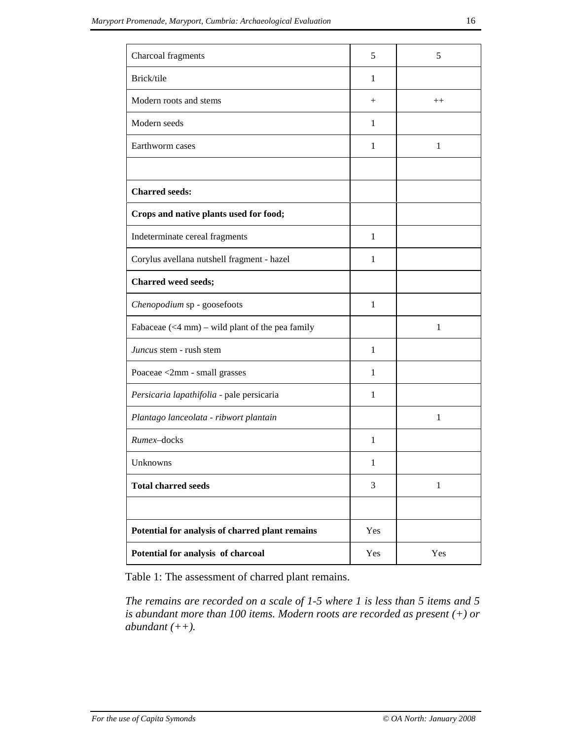| Charcoal fragments                                 | 5            | 5            |
|----------------------------------------------------|--------------|--------------|
| Brick/tile                                         | $\mathbf{1}$ |              |
| Modern roots and stems                             | $^{+}$       | $++$         |
| Modern seeds                                       | 1            |              |
| Earthworm cases                                    | 1            | 1            |
|                                                    |              |              |
| <b>Charred seeds:</b>                              |              |              |
| Crops and native plants used for food;             |              |              |
| Indeterminate cereal fragments                     | 1            |              |
| Corylus avellana nutshell fragment - hazel         | 1            |              |
| <b>Charred weed seeds;</b>                         |              |              |
| Chenopodium sp - goosefoots                        | $\mathbf{1}$ |              |
| Fabaceae $(<$ 4 mm) – wild plant of the pea family |              | $\mathbf{1}$ |
| <i>Juncus</i> stem - rush stem                     | $\mathbf{1}$ |              |
| Poaceae <2mm - small grasses                       | 1            |              |
| Persicaria lapathifolia - pale persicaria          | 1            |              |
| Plantago lanceolata - ribwort plantain             |              | 1            |
| Rumex-docks                                        | 1            |              |
| Unknowns                                           | 1            |              |
| <b>Total charred seeds</b>                         | 3            | $\mathbf{1}$ |
|                                                    |              |              |
| Potential for analysis of charred plant remains    | Yes          |              |
| Potential for analysis of charcoal                 | Yes          | Yes          |

Table 1: The assessment of charred plant remains.

*The remains are recorded on a scale of 1-5 where 1 is less than 5 items and 5 is abundant more than 100 items. Modern roots are recorded as present (+) or abundant (++).*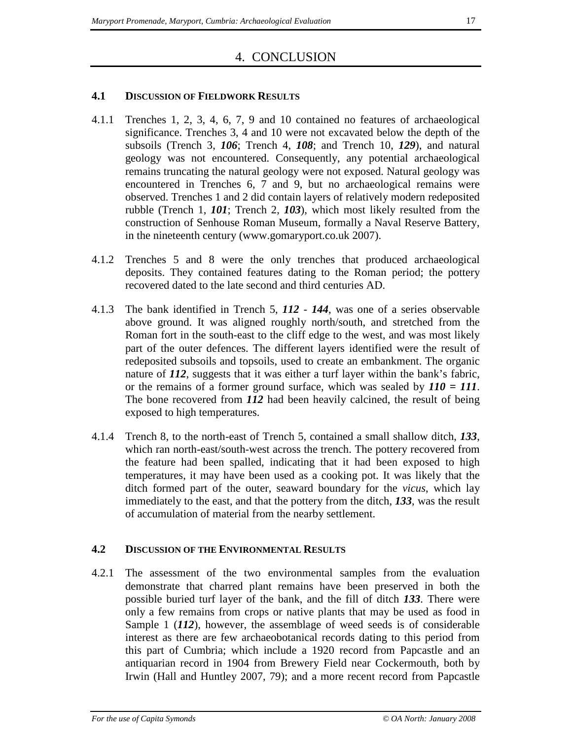## 4. CONCLUSION

### **4.1 DISCUSSION OF FIELDWORK RESULTS**

- 4.1.1 Trenches 1, 2, 3, 4, 6, 7, 9 and 10 contained no features of archaeological significance. Trenches 3, 4 and 10 were not excavated below the depth of the subsoils (Trench 3, *106*; Trench 4, *108*; and Trench 10, *129*), and natural geology was not encountered. Consequently, any potential archaeological remains truncating the natural geology were not exposed. Natural geology was encountered in Trenches 6, 7 and 9, but no archaeological remains were observed. Trenches 1 and 2 did contain layers of relatively modern redeposited rubble (Trench 1, *101*; Trench 2, *103*), which most likely resulted from the construction of Senhouse Roman Museum, formally a Naval Reserve Battery, in the nineteenth century (www.gomaryport.co.uk 2007).
- 4.1.2 Trenches 5 and 8 were the only trenches that produced archaeological deposits. They contained features dating to the Roman period; the pottery recovered dated to the late second and third centuries AD.
- 4.1.3 The bank identified in Trench 5, *112 144*, was one of a series observable above ground. It was aligned roughly north/south, and stretched from the Roman fort in the south-east to the cliff edge to the west, and was most likely part of the outer defences. The different layers identified were the result of redeposited subsoils and topsoils, used to create an embankment. The organic nature of 112, suggests that it was either a turf layer within the bank's fabric, or the remains of a former ground surface, which was sealed by *110 = 111*. The bone recovered from *112* had been heavily calcined, the result of being exposed to high temperatures.
- 4.1.4 Trench 8, to the north-east of Trench 5, contained a small shallow ditch, *133*, which ran north-east/south-west across the trench. The pottery recovered from the feature had been spalled, indicating that it had been exposed to high temperatures, it may have been used as a cooking pot. It was likely that the ditch formed part of the outer, seaward boundary for the *vicus*, which lay immediately to the east, and that the pottery from the ditch, *133*, was the result of accumulation of material from the nearby settlement.

## **4.2 DISCUSSION OF THE ENVIRONMENTAL RESULTS**

4.2.1 The assessment of the two environmental samples from the evaluation demonstrate that charred plant remains have been preserved in both the possible buried turf layer of the bank, and the fill of ditch *133*. There were only a few remains from crops or native plants that may be used as food in Sample 1 (*112*), however, the assemblage of weed seeds is of considerable interest as there are few archaeobotanical records dating to this period from this part of Cumbria; which include a 1920 record from Papcastle and an antiquarian record in 1904 from Brewery Field near Cockermouth, both by Irwin (Hall and Huntley 2007, 79); and a more recent record from Papcastle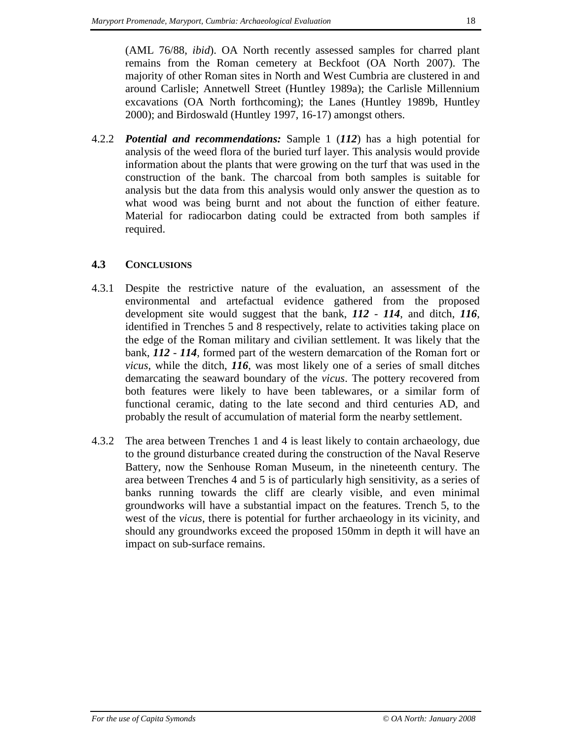(AML 76/88, *ibid*). OA North recently assessed samples for charred plant remains from the Roman cemetery at Beckfoot (OA North 2007). The majority of other Roman sites in North and West Cumbria are clustered in and around Carlisle; Annetwell Street (Huntley 1989a); the Carlisle Millennium excavations (OA North forthcoming); the Lanes (Huntley 1989b, Huntley 2000); and Birdoswald (Huntley 1997, 16-17) amongst others.

4.2.2 *Potential and recommendations:* Sample 1 (*112*) has a high potential for analysis of the weed flora of the buried turf layer. This analysis would provide information about the plants that were growing on the turf that was used in the construction of the bank. The charcoal from both samples is suitable for analysis but the data from this analysis would only answer the question as to what wood was being burnt and not about the function of either feature. Material for radiocarbon dating could be extracted from both samples if required.

## **4.3 CONCLUSIONS**

- 4.3.1 Despite the restrictive nature of the evaluation, an assessment of the environmental and artefactual evidence gathered from the proposed development site would suggest that the bank, *112* - *114*, and ditch, *116*, identified in Trenches 5 and 8 respectively, relate to activities taking place on the edge of the Roman military and civilian settlement. It was likely that the bank, *112* - *114*, formed part of the western demarcation of the Roman fort or *vicus*, while the ditch, *116*, was most likely one of a series of small ditches demarcating the seaward boundary of the *vicus*. The pottery recovered from both features were likely to have been tablewares, or a similar form of functional ceramic, dating to the late second and third centuries AD, and probably the result of accumulation of material form the nearby settlement.
- 4.3.2 The area between Trenches 1 and 4 is least likely to contain archaeology, due to the ground disturbance created during the construction of the Naval Reserve Battery, now the Senhouse Roman Museum, in the nineteenth century. The area between Trenches 4 and 5 is of particularly high sensitivity, as a series of banks running towards the cliff are clearly visible, and even minimal groundworks will have a substantial impact on the features. Trench 5, to the west of the *vicus*, there is potential for further archaeology in its vicinity, and should any groundworks exceed the proposed 150mm in depth it will have an impact on sub-surface remains.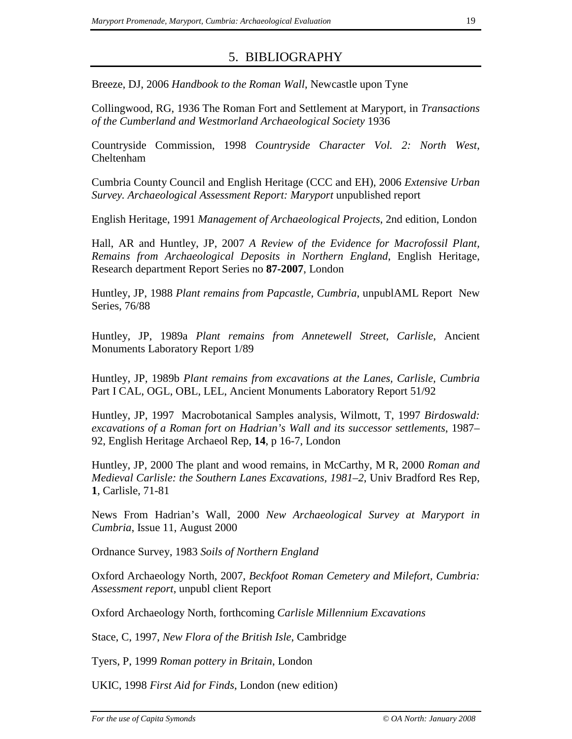## 5. BIBLIOGRAPHY

Breeze, DJ, 2006 *Handbook to the Roman Wall*, Newcastle upon Tyne

Collingwood, RG, 1936 The Roman Fort and Settlement at Maryport, in *Transactions of the Cumberland and Westmorland Archaeological Society* 1936

Countryside Commission, 1998 *Countryside Character Vol. 2: North West*, Cheltenham

Cumbria County Council and English Heritage (CCC and EH), 2006 *Extensive Urban Survey. Archaeological Assessment Report: Maryport* unpublished report

English Heritage, 1991 *Management of Archaeological Projects*, 2nd edition, London

Hall, AR and Huntley, JP, 2007 *A Review of the Evidence for Macrofossil Plant, Remains from Archaeological Deposits in Northern England*, English Heritage, Research department Report Series no **87-2007**, London

Huntley, JP, 1988 *Plant remains from Papcastle, Cumbria*, unpublAML Report New Series, 76/88

Huntley, JP, 1989a *Plant remains from Annetewell Street, Carlisle*, Ancient Monuments Laboratory Report 1/89

Huntley, JP, 1989b *Plant remains from excavations at the Lanes, Carlisle, Cumbria* Part I CAL, OGL, OBL, LEL, Ancient Monuments Laboratory Report 51/92

Huntley, JP, 1997 Macrobotanical Samples analysis, Wilmott, T, 1997 *Birdoswald: excavations of a Roman fort on Hadrian's Wall and its successor settlements*, 1987– 92, English Heritage Archaeol Rep, **14**, p 16-7, London

Huntley, JP, 2000 The plant and wood remains, in McCarthy, M R, 2000 *Roman and Medieval Carlisle: the Southern Lanes Excavations, 1981–2*, Univ Bradford Res Rep, **1**, Carlisle, 71-81

News From Hadrian's Wall, 2000 *New Archaeological Survey at Maryport in Cumbria*, Issue 11, August 2000

Ordnance Survey, 1983 *Soils of Northern England*

Oxford Archaeology North, 2007*, Beckfoot Roman Cemetery and Milefort, Cumbria: Assessment report*, unpubl client Report

Oxford Archaeology North, forthcoming *Carlisle Millennium Excavations*

Stace, C, 1997, *New Flora of the British Isle*, Cambridge

Tyers, P, 1999 *Roman pottery in Britain*, London

UKIC, 1998 *First Aid for Finds*, London (new edition)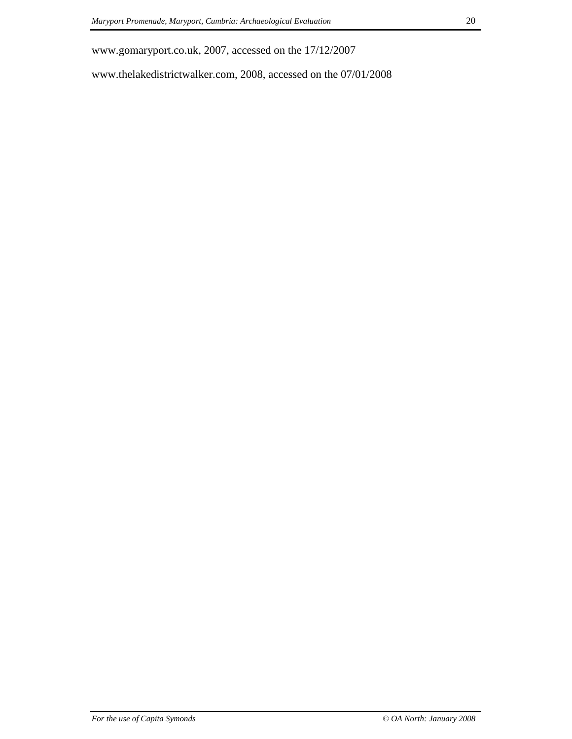www.gomaryport.co.uk, 2007, accessed on the 17/12/2007

www.thelakedistrictwalker.com, 2008, accessed on the 07/01/2008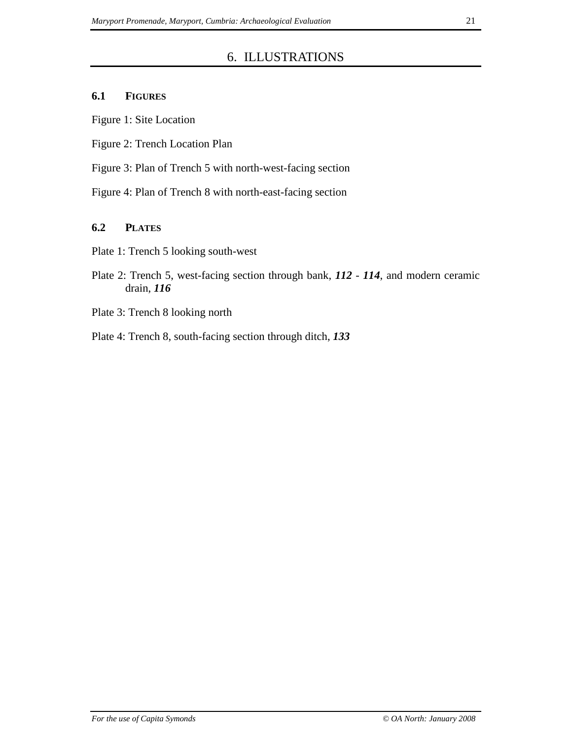## 6. ILLUSTRATIONS

### **6.1 FIGURES**

Figure 1: Site Location

Figure 2: Trench Location Plan

Figure 3: Plan of Trench 5 with north-west-facing section

Figure 4: Plan of Trench 8 with north-east-facing section

## **6.2 PLATES**

Plate 1: Trench 5 looking south-west

- Plate 2: Trench 5, west-facing section through bank, *112 114*, and modern ceramic drain, *116*
- Plate 3: Trench 8 looking north
- Plate 4: Trench 8, south-facing section through ditch, *133*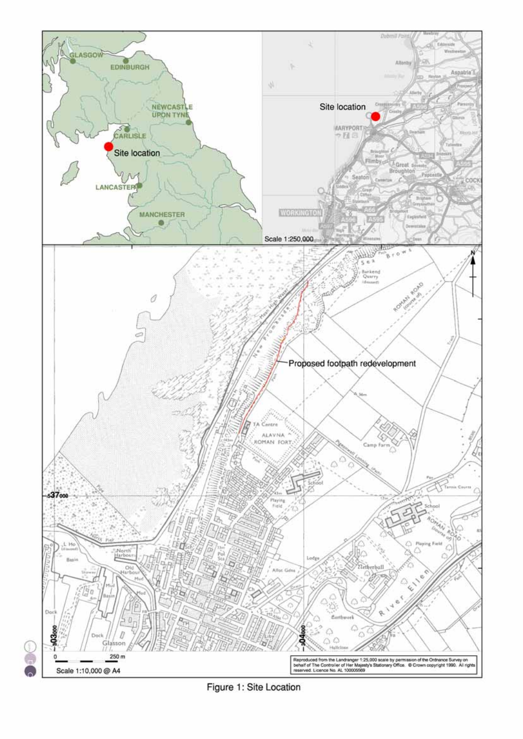

Figure 1: Site Location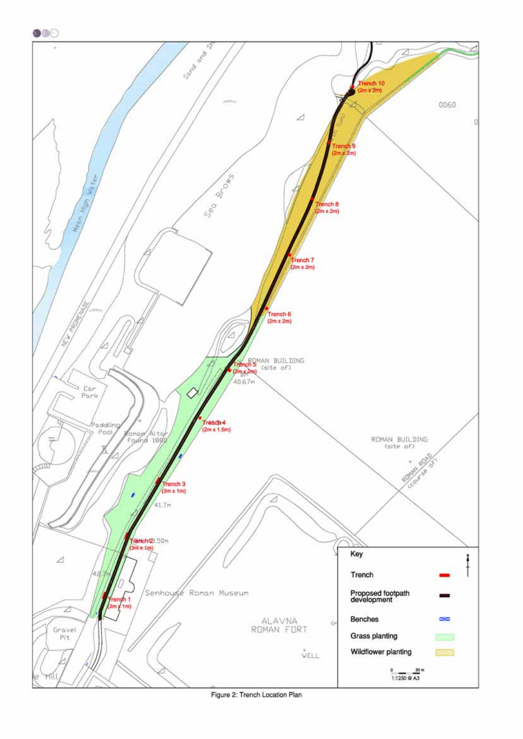

Figure 2: Trench Location Plan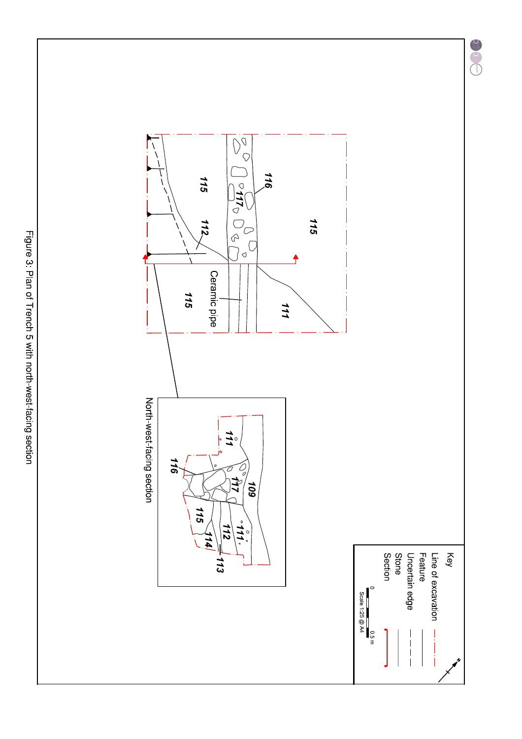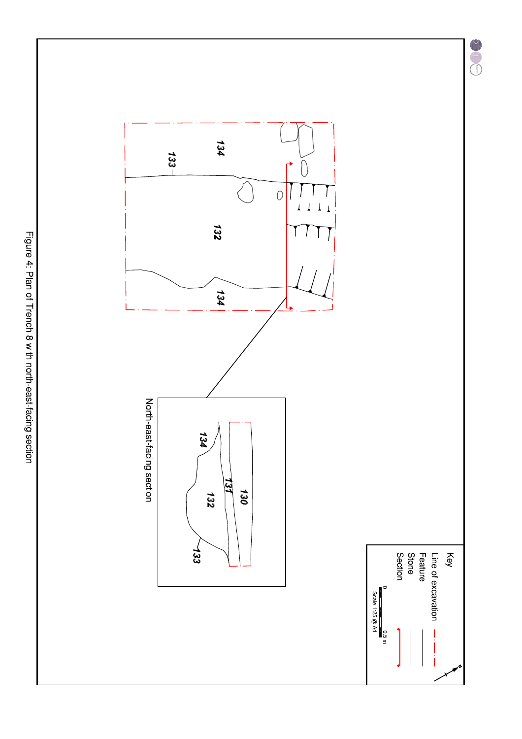Key

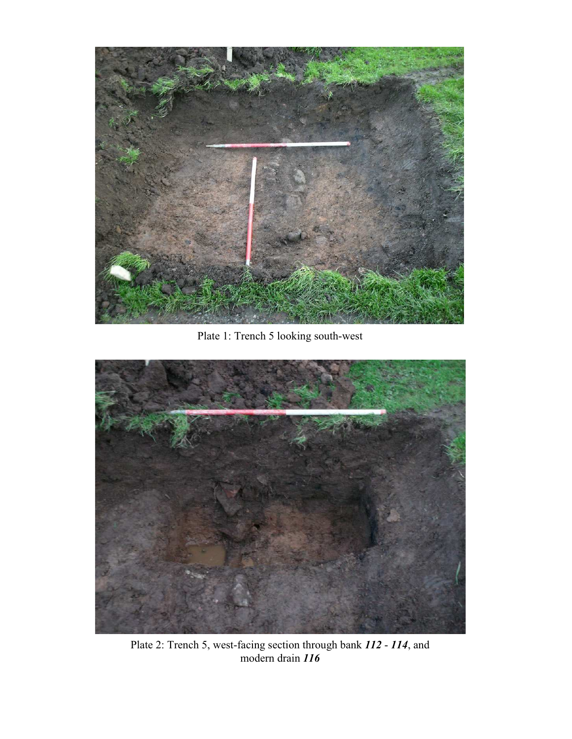

Plate 1: Trench 5 looking south-west



Plate 2: Trench 5, west-facing section through bank *112* - *114*, and modern drain *116*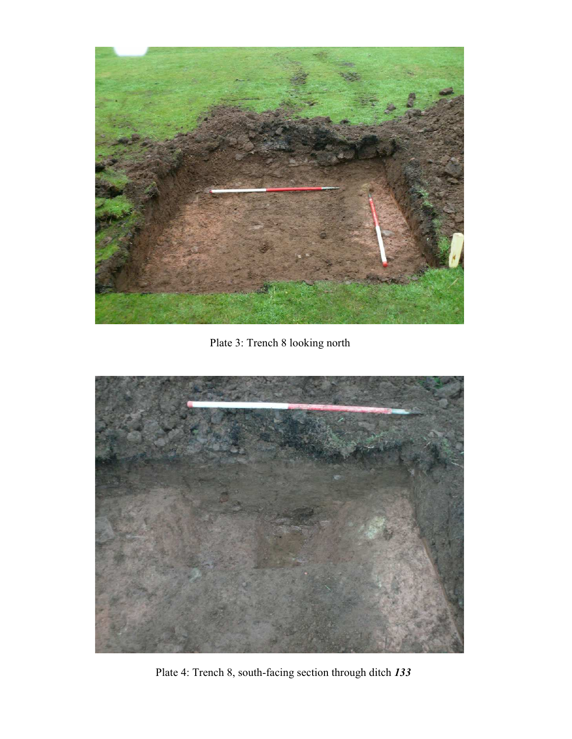

Plate 3: Trench 8 looking north



Plate 4: Trench 8, south-facing section through ditch *133*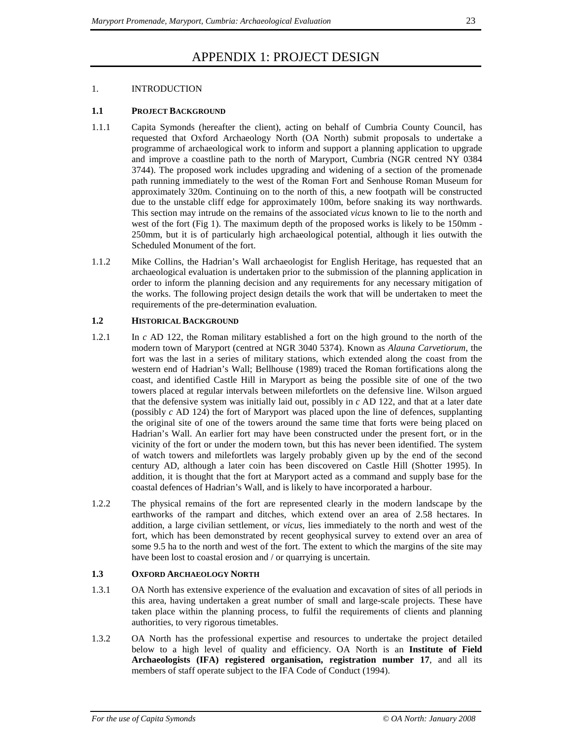## APPENDIX 1: PROJECT DESIGN

### 1. INTRODUCTION

### **1.1 PROJECT BACKGROUND**

- 1.1.1 Capita Symonds (hereafter the client), acting on behalf of Cumbria County Council, has requested that Oxford Archaeology North (OA North) submit proposals to undertake a programme of archaeological work to inform and support a planning application to upgrade and improve a coastline path to the north of Maryport, Cumbria (NGR centred NY 0384 3744). The proposed work includes upgrading and widening of a section of the promenade path running immediately to the west of the Roman Fort and Senhouse Roman Museum for approximately 320m. Continuing on to the north of this, a new footpath will be constructed due to the unstable cliff edge for approximately 100m, before snaking its way northwards. This section may intrude on the remains of the associated *vicus* known to lie to the north and west of the fort (Fig 1). The maximum depth of the proposed works is likely to be 150mm - 250mm, but it is of particularly high archaeological potential, although it lies outwith the Scheduled Monument of the fort.
- 1.1.2 Mike Collins, the Hadrian's Wall archaeologist for English Heritage, has requested that an archaeological evaluation is undertaken prior to the submission of the planning application in order to inform the planning decision and any requirements for any necessary mitigation of the works. The following project design details the work that will be undertaken to meet the requirements of the pre-determination evaluation.

### **1.2 HISTORICAL BACKGROUND**

- 1.2.1 In *c* AD 122, the Roman military established a fort on the high ground to the north of the modern town of Maryport (centred at NGR 3040 5374). Known as *Alauna Carvetiorum*, the fort was the last in a series of military stations, which extended along the coast from the western end of Hadrian's Wall; Bellhouse (1989) traced the Roman fortifications along the coast, and identified Castle Hill in Maryport as being the possible site of one of the two towers placed at regular intervals between milefortlets on the defensive line. Wilson argued that the defensive system was initially laid out, possibly in *c* AD 122, and that at a later date (possibly *c* AD 124) the fort of Maryport was placed upon the line of defences, supplanting the original site of one of the towers around the same time that forts were being placed on Hadrian's Wall. An earlier fort may have been constructed under the present fort, or in the vicinity of the fort or under the modern town, but this has never been identified. The system of watch towers and milefortlets was largely probably given up by the end of the second century AD, although a later coin has been discovered on Castle Hill (Shotter 1995). In addition, it is thought that the fort at Maryport acted as a command and supply base for the coastal defences of Hadrian's Wall, and is likely to have incorporated a harbour.
- 1.2.2 The physical remains of the fort are represented clearly in the modern landscape by the earthworks of the rampart and ditches, which extend over an area of 2.58 hectares. In addition, a large civilian settlement, or *vicus*, lies immediately to the north and west of the fort, which has been demonstrated by recent geophysical survey to extend over an area of some 9.5 ha to the north and west of the fort. The extent to which the margins of the site may have been lost to coastal erosion and / or quarrying is uncertain.

### **1.3 OXFORD ARCHAEOLOGY NORTH**

- 1.3.1 OA North has extensive experience of the evaluation and excavation of sites of all periods in this area, having undertaken a great number of small and large-scale projects. These have taken place within the planning process, to fulfil the requirements of clients and planning authorities, to very rigorous timetables.
- 1.3.2 OA North has the professional expertise and resources to undertake the project detailed below to a high level of quality and efficiency. OA North is an **Institute of Field Archaeologists (IFA) registered organisation, registration number 17**, and all its members of staff operate subject to the IFA Code of Conduct (1994).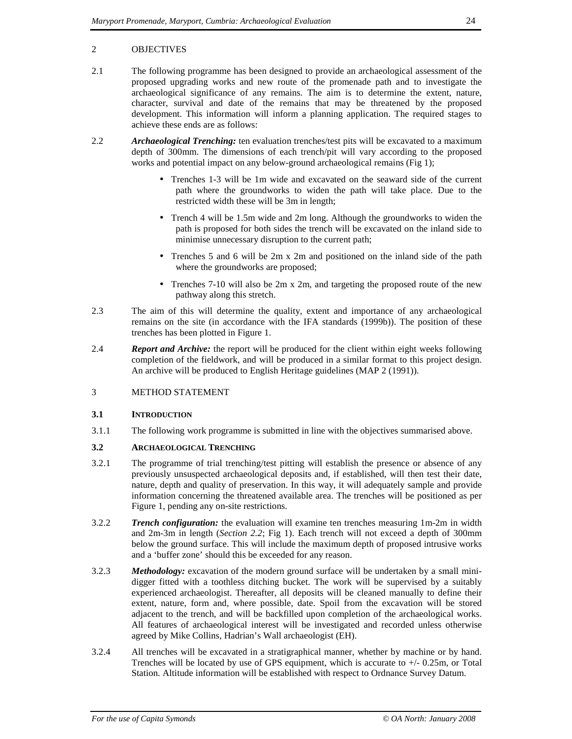### 2 OBJECTIVES

- 2.1 The following programme has been designed to provide an archaeological assessment of the proposed upgrading works and new route of the promenade path and to investigate the archaeological significance of any remains. The aim is to determine the extent, nature, character, survival and date of the remains that may be threatened by the proposed development. This information will inform a planning application. The required stages to achieve these ends are as follows:
- 2.2 *Archaeological Trenching:* ten evaluation trenches/test pits will be excavated to a maximum depth of 300mm. The dimensions of each trench/pit will vary according to the proposed works and potential impact on any below-ground archaeological remains (Fig 1);
	- Trenches 1-3 will be 1m wide and excavated on the seaward side of the current path where the groundworks to widen the path will take place. Due to the restricted width these will be 3m in length;
	- Trench 4 will be 1.5m wide and 2m long. Although the groundworks to widen the path is proposed for both sides the trench will be excavated on the inland side to minimise unnecessary disruption to the current path;
	- Trenches 5 and 6 will be 2m x 2m and positioned on the inland side of the path where the groundworks are proposed;
	- Trenches 7-10 will also be 2m x 2m, and targeting the proposed route of the new pathway along this stretch.
- 2.3 The aim of this will determine the quality, extent and importance of any archaeological remains on the site (in accordance with the IFA standards (1999b)). The position of these trenches has been plotted in Figure 1.
- 2.4 *Report and Archive:* the report will be produced for the client within eight weeks following completion of the fieldwork, and will be produced in a similar format to this project design. An archive will be produced to English Heritage guidelines (MAP 2 (1991)).

### 3 METHOD STATEMENT

### **3.1 INTRODUCTION**

3.1.1 The following work programme is submitted in line with the objectives summarised above.

### **3.2 ARCHAEOLOGICAL TRENCHING**

- 3.2.1 The programme of trial trenching/test pitting will establish the presence or absence of any previously unsuspected archaeological deposits and, if established, will then test their date, nature, depth and quality of preservation. In this way, it will adequately sample and provide information concerning the threatened available area. The trenches will be positioned as per Figure 1, pending any on-site restrictions.
- 3.2.2 *Trench configuration:* the evaluation will examine ten trenches measuring 1m-2m in width and 2m-3m in length (*Section 2.2*; Fig 1). Each trench will not exceed a depth of 300mm below the ground surface. This will include the maximum depth of proposed intrusive works and a 'buffer zone' should this be exceeded for any reason.
- 3.2.3 *Methodology:* excavation of the modern ground surface will be undertaken by a small minidigger fitted with a toothless ditching bucket. The work will be supervised by a suitably experienced archaeologist. Thereafter, all deposits will be cleaned manually to define their extent, nature, form and, where possible, date. Spoil from the excavation will be stored adjacent to the trench, and will be backfilled upon completion of the archaeological works. All features of archaeological interest will be investigated and recorded unless otherwise agreed by Mike Collins, Hadrian's Wall archaeologist (EH).
- 3.2.4 All trenches will be excavated in a stratigraphical manner, whether by machine or by hand. Trenches will be located by use of GPS equipment, which is accurate to  $+/$ - 0.25m, or Total Station. Altitude information will be established with respect to Ordnance Survey Datum.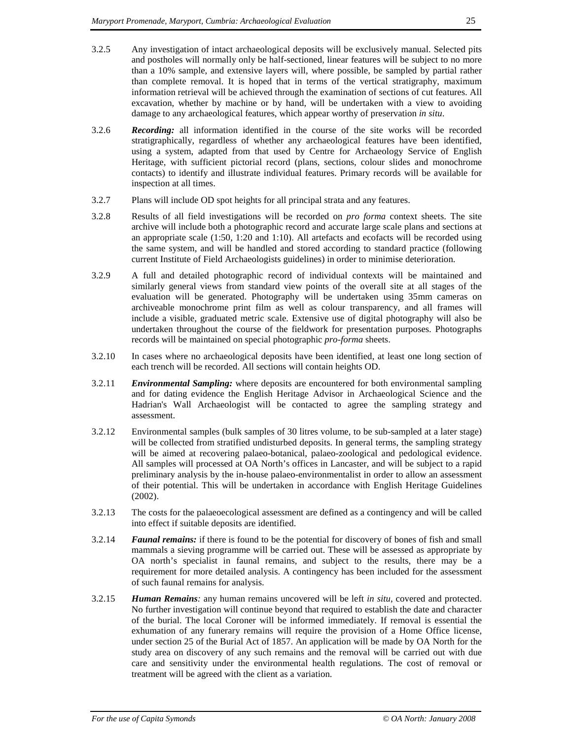- 3.2.5 Any investigation of intact archaeological deposits will be exclusively manual. Selected pits and postholes will normally only be half-sectioned, linear features will be subject to no more than a 10% sample, and extensive layers will, where possible, be sampled by partial rather than complete removal. It is hoped that in terms of the vertical stratigraphy, maximum information retrieval will be achieved through the examination of sections of cut features. All excavation, whether by machine or by hand, will be undertaken with a view to avoiding damage to any archaeological features, which appear worthy of preservation *in situ*.
- 3.2.6 *Recording:* all information identified in the course of the site works will be recorded stratigraphically, regardless of whether any archaeological features have been identified, using a system, adapted from that used by Centre for Archaeology Service of English Heritage, with sufficient pictorial record (plans, sections, colour slides and monochrome contacts) to identify and illustrate individual features. Primary records will be available for inspection at all times.
- 3.2.7 Plans will include OD spot heights for all principal strata and any features.
- 3.2.8 Results of all field investigations will be recorded on *pro forma* context sheets. The site archive will include both a photographic record and accurate large scale plans and sections at an appropriate scale (1:50, 1:20 and 1:10). All artefacts and ecofacts will be recorded using the same system, and will be handled and stored according to standard practice (following current Institute of Field Archaeologists guidelines) in order to minimise deterioration.
- 3.2.9 A full and detailed photographic record of individual contexts will be maintained and similarly general views from standard view points of the overall site at all stages of the evaluation will be generated. Photography will be undertaken using 35mm cameras on archiveable monochrome print film as well as colour transparency, and all frames will include a visible, graduated metric scale. Extensive use of digital photography will also be undertaken throughout the course of the fieldwork for presentation purposes. Photographs records will be maintained on special photographic *pro-forma* sheets.
- 3.2.10 In cases where no archaeological deposits have been identified, at least one long section of each trench will be recorded. All sections will contain heights OD.
- 3.2.11 *Environmental Sampling:* where deposits are encountered for both environmental sampling and for dating evidence the English Heritage Advisor in Archaeological Science and the Hadrian's Wall Archaeologist will be contacted to agree the sampling strategy and assessment.
- 3.2.12 Environmental samples (bulk samples of 30 litres volume, to be sub-sampled at a later stage) will be collected from stratified undisturbed deposits. In general terms, the sampling strategy will be aimed at recovering palaeo-botanical, palaeo-zoological and pedological evidence. All samples will processed at OA North's offices in Lancaster, and will be subject to a rapid preliminary analysis by the in-house palaeo-environmentalist in order to allow an assessment of their potential. This will be undertaken in accordance with English Heritage Guidelines (2002).
- 3.2.13 The costs for the palaeoecological assessment are defined as a contingency and will be called into effect if suitable deposits are identified.
- 3.2.14 *Faunal remains:* if there is found to be the potential for discovery of bones of fish and small mammals a sieving programme will be carried out. These will be assessed as appropriate by OA north's specialist in faunal remains, and subject to the results, there may be a requirement for more detailed analysis. A contingency has been included for the assessment of such faunal remains for analysis.
- 3.2.15 *Human Remains:* any human remains uncovered will be left *in situ*, covered and protected. No further investigation will continue beyond that required to establish the date and character of the burial. The local Coroner will be informed immediately. If removal is essential the exhumation of any funerary remains will require the provision of a Home Office license, under section 25 of the Burial Act of 1857. An application will be made by OA North for the study area on discovery of any such remains and the removal will be carried out with due care and sensitivity under the environmental health regulations. The cost of removal or treatment will be agreed with the client as a variation.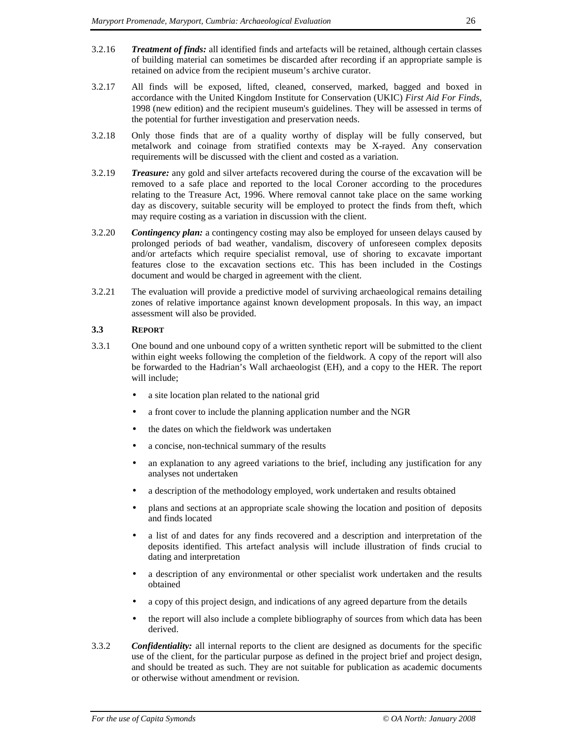- 3.2.16 *Treatment of finds:* all identified finds and artefacts will be retained, although certain classes of building material can sometimes be discarded after recording if an appropriate sample is retained on advice from the recipient museum's archive curator.
- 3.2.17 All finds will be exposed, lifted, cleaned, conserved, marked, bagged and boxed in accordance with the United Kingdom Institute for Conservation (UKIC) *First Aid For Finds*, 1998 (new edition) and the recipient museum's guidelines. They will be assessed in terms of the potential for further investigation and preservation needs.
- 3.2.18 Only those finds that are of a quality worthy of display will be fully conserved, but metalwork and coinage from stratified contexts may be X-rayed. Any conservation requirements will be discussed with the client and costed as a variation.
- 3.2.19 *Treasure:* any gold and silver artefacts recovered during the course of the excavation will be removed to a safe place and reported to the local Coroner according to the procedures relating to the Treasure Act, 1996. Where removal cannot take place on the same working day as discovery, suitable security will be employed to protect the finds from theft, which may require costing as a variation in discussion with the client.
- 3.2.20 *Contingency plan:* a contingency costing may also be employed for unseen delays caused by prolonged periods of bad weather, vandalism, discovery of unforeseen complex deposits and/or artefacts which require specialist removal, use of shoring to excavate important features close to the excavation sections etc. This has been included in the Costings document and would be charged in agreement with the client.
- 3.2.21 The evaluation will provide a predictive model of surviving archaeological remains detailing zones of relative importance against known development proposals. In this way, an impact assessment will also be provided.

#### **3.3 REPORT**

- 3.3.1 One bound and one unbound copy of a written synthetic report will be submitted to the client within eight weeks following the completion of the fieldwork. A copy of the report will also be forwarded to the Hadrian's Wall archaeologist (EH), and a copy to the HER. The report will include;
	- a site location plan related to the national grid
	- a front cover to include the planning application number and the NGR
	- the dates on which the fieldwork was undertaken
	- a concise, non-technical summary of the results
	- an explanation to any agreed variations to the brief, including any justification for any analyses not undertaken
	- a description of the methodology employed, work undertaken and results obtained
	- plans and sections at an appropriate scale showing the location and position of deposits and finds located
	- a list of and dates for any finds recovered and a description and interpretation of the deposits identified. This artefact analysis will include illustration of finds crucial to dating and interpretation
	- a description of any environmental or other specialist work undertaken and the results obtained
	- a copy of this project design, and indications of any agreed departure from the details
	- the report will also include a complete bibliography of sources from which data has been derived.
- 3.3.2 *Confidentiality:* all internal reports to the client are designed as documents for the specific use of the client, for the particular purpose as defined in the project brief and project design, and should be treated as such. They are not suitable for publication as academic documents or otherwise without amendment or revision.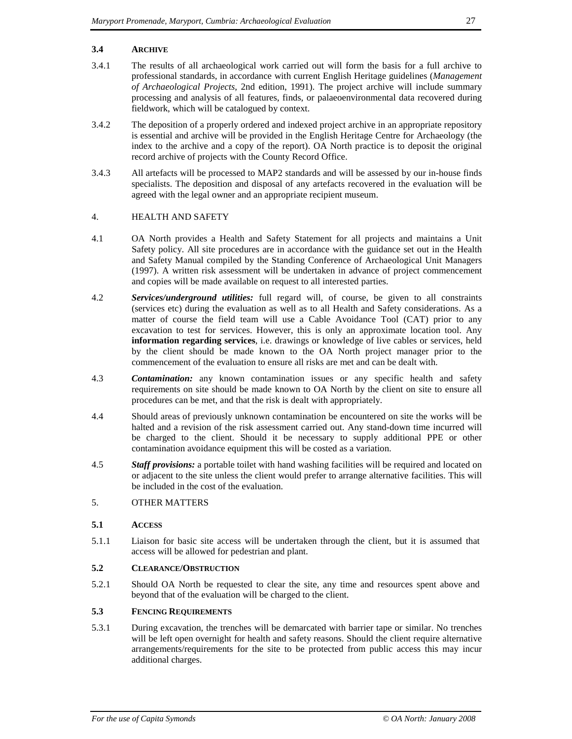### **3.4 ARCHIVE**

- 3.4.1 The results of all archaeological work carried out will form the basis for a full archive to professional standards, in accordance with current English Heritage guidelines (*Management of Archaeological Projects*, 2nd edition, 1991). The project archive will include summary processing and analysis of all features, finds, or palaeoenvironmental data recovered during fieldwork, which will be catalogued by context.
- 3.4.2 The deposition of a properly ordered and indexed project archive in an appropriate repository is essential and archive will be provided in the English Heritage Centre for Archaeology (the index to the archive and a copy of the report). OA North practice is to deposit the original record archive of projects with the County Record Office.
- 3.4.3 All artefacts will be processed to MAP2 standards and will be assessed by our in-house finds specialists. The deposition and disposal of any artefacts recovered in the evaluation will be agreed with the legal owner and an appropriate recipient museum.

#### 4. HEALTH AND SAFETY

- 4.1 OA North provides a Health and Safety Statement for all projects and maintains a Unit Safety policy. All site procedures are in accordance with the guidance set out in the Health and Safety Manual compiled by the Standing Conference of Archaeological Unit Managers (1997). A written risk assessment will be undertaken in advance of project commencement and copies will be made available on request to all interested parties.
- 4.2 *Services/underground utilities:* full regard will, of course, be given to all constraints (services etc) during the evaluation as well as to all Health and Safety considerations. As a matter of course the field team will use a Cable Avoidance Tool (CAT) prior to any excavation to test for services. However, this is only an approximate location tool. Any **information regarding services**, i.e. drawings or knowledge of live cables or services, held by the client should be made known to the OA North project manager prior to the commencement of the evaluation to ensure all risks are met and can be dealt with.
- 4.3 *Contamination:* any known contamination issues or any specific health and safety requirements on site should be made known to OA North by the client on site to ensure all procedures can be met, and that the risk is dealt with appropriately.
- 4.4 Should areas of previously unknown contamination be encountered on site the works will be halted and a revision of the risk assessment carried out. Any stand-down time incurred will be charged to the client. Should it be necessary to supply additional PPE or other contamination avoidance equipment this will be costed as a variation.
- 4.5 *Staff provisions:* a portable toilet with hand washing facilities will be required and located on or adjacent to the site unless the client would prefer to arrange alternative facilities. This will be included in the cost of the evaluation.

### 5. OTHER MATTERS

#### **5.1 ACCESS**

5.1.1 Liaison for basic site access will be undertaken through the client, but it is assumed that access will be allowed for pedestrian and plant.

#### **5.2 CLEARANCE/OBSTRUCTION**

5.2.1 Should OA North be requested to clear the site, any time and resources spent above and beyond that of the evaluation will be charged to the client.

### **5.3 FENCING REQUIREMENTS**

5.3.1 During excavation, the trenches will be demarcated with barrier tape or similar. No trenches will be left open overnight for health and safety reasons. Should the client require alternative arrangements/requirements for the site to be protected from public access this may incur additional charges.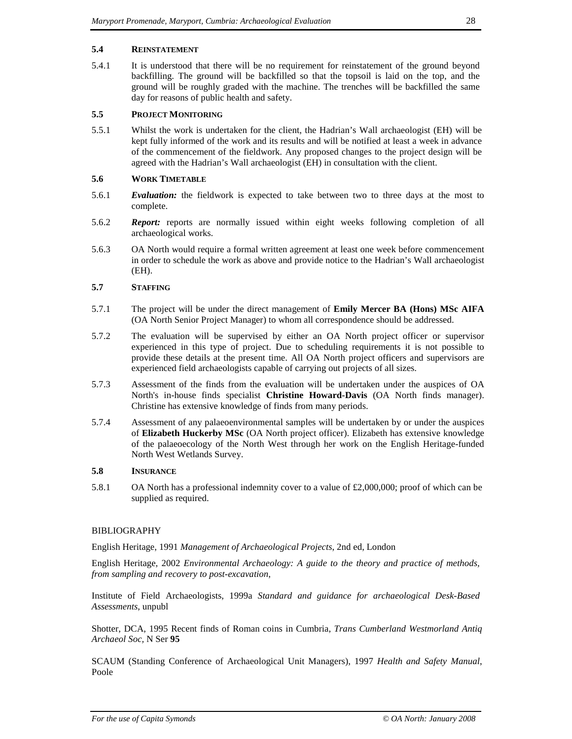#### **5.4 REINSTATEMENT**

5.4.1 It is understood that there will be no requirement for reinstatement of the ground beyond backfilling. The ground will be backfilled so that the topsoil is laid on the top, and the ground will be roughly graded with the machine. The trenches will be backfilled the same day for reasons of public health and safety.

### **5.5 PROJECT MONITORING**

5.5.1 Whilst the work is undertaken for the client, the Hadrian's Wall archaeologist (EH) will be kept fully informed of the work and its results and will be notified at least a week in advance of the commencement of the fieldwork. Any proposed changes to the project design will be agreed with the Hadrian's Wall archaeologist (EH) in consultation with the client.

#### **5.6 WORK TIMETABLE**

- 5.6.1 *Evaluation:* the fieldwork is expected to take between two to three days at the most to complete.
- 5.6.2 *Report:* reports are normally issued within eight weeks following completion of all archaeological works.
- 5.6.3 OA North would require a formal written agreement at least one week before commencement in order to schedule the work as above and provide notice to the Hadrian's Wall archaeologist (EH).

### **5.7 STAFFING**

- 5.7.1 The project will be under the direct management of **Emily Mercer BA (Hons) MSc AIFA** (OA North Senior Project Manager) to whom all correspondence should be addressed.
- 5.7.2 The evaluation will be supervised by either an OA North project officer or supervisor experienced in this type of project. Due to scheduling requirements it is not possible to provide these details at the present time. All OA North project officers and supervisors are experienced field archaeologists capable of carrying out projects of all sizes.
- 5.7.3 Assessment of the finds from the evaluation will be undertaken under the auspices of OA North's in-house finds specialist **Christine Howard-Davis** (OA North finds manager). Christine has extensive knowledge of finds from many periods.
- 5.7.4 Assessment of any palaeoenvironmental samples will be undertaken by or under the auspices of **Elizabeth Huckerby MSc** (OA North project officer). Elizabeth has extensive knowledge of the palaeoecology of the North West through her work on the English Heritage-funded North West Wetlands Survey.

#### **5.8 INSURANCE**

5.8.1 OA North has a professional indemnity cover to a value of £2,000,000; proof of which can be supplied as required.

### BIBLIOGRAPHY

English Heritage, 1991 *Management of Archaeological Projects*, 2nd ed, London

English Heritage, 2002 *Environmental Archaeology: A guide to the theory and practice of methods, from sampling and recovery to post-excavation*,

Institute of Field Archaeologists, 1999a *Standard and guidance for archaeological Desk-Based Assessments*, unpubl

Shotter, DCA, 1995 Recent finds of Roman coins in Cumbria, *Trans Cumberland Westmorland Antiq Archaeol Soc,* N Ser **95**

SCAUM (Standing Conference of Archaeological Unit Managers), 1997 *Health and Safety Manual*, Poole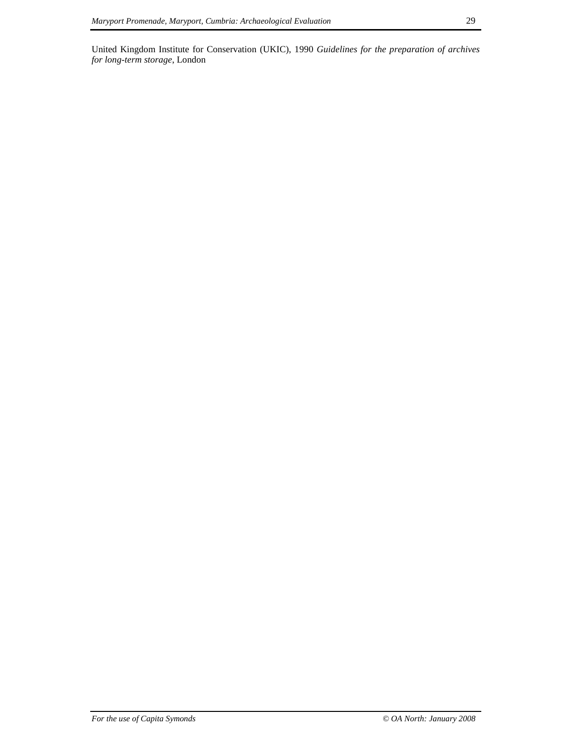United Kingdom Institute for Conservation (UKIC), 1990 *Guidelines for the preparation of archives for long-term storage*, London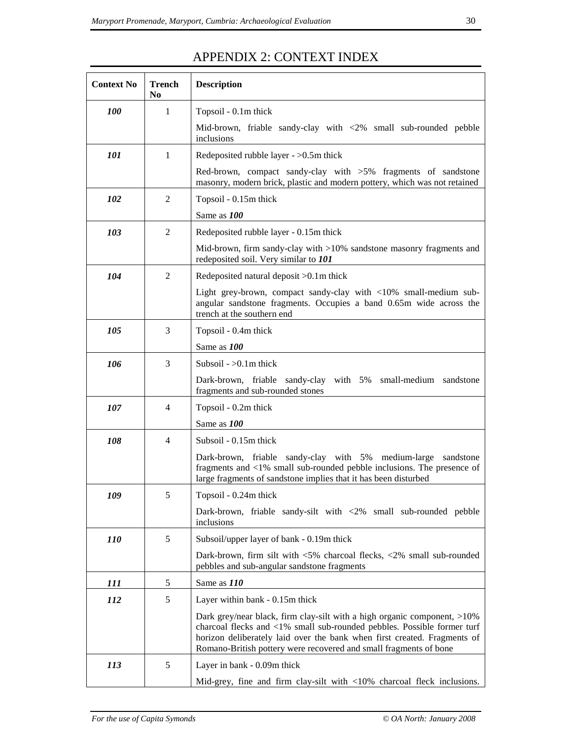| <b>Context No</b>          | <b>Trench</b><br>N <sub>0</sub> | <b>Description</b>                                                                                                                                                                                                                                                                                   |
|----------------------------|---------------------------------|------------------------------------------------------------------------------------------------------------------------------------------------------------------------------------------------------------------------------------------------------------------------------------------------------|
| $\mathbf{1}$<br><i>100</i> |                                 | Topsoil - 0.1m thick                                                                                                                                                                                                                                                                                 |
|                            |                                 | Mid-brown, friable sandy-clay with $\langle 2\%$ small sub-rounded pebble<br>inclusions                                                                                                                                                                                                              |
| 101                        | 1                               | Redeposited rubble layer - $>0.5$ m thick                                                                                                                                                                                                                                                            |
|                            |                                 | Red-brown, compact sandy-clay with $>5\%$ fragments of sandstone<br>masonry, modern brick, plastic and modern pottery, which was not retained                                                                                                                                                        |
| 102                        | $\overline{2}$                  | Topsoil - 0.15m thick                                                                                                                                                                                                                                                                                |
|                            |                                 | Same as 100                                                                                                                                                                                                                                                                                          |
| 103                        | 2                               | Redeposited rubble layer - 0.15m thick                                                                                                                                                                                                                                                               |
|                            |                                 | Mid-brown, firm sandy-clay with $>10\%$ sandstone masonry fragments and<br>redeposited soil. Very similar to 101                                                                                                                                                                                     |
| 104                        | $\overline{2}$                  | Redeposited natural deposit > 0.1m thick                                                                                                                                                                                                                                                             |
|                            |                                 | Light grey-brown, compact sandy-clay with <10% small-medium sub-<br>angular sandstone fragments. Occupies a band 0.65m wide across the<br>trench at the southern end                                                                                                                                 |
| 105                        | 3                               | Topsoil - 0.4m thick                                                                                                                                                                                                                                                                                 |
|                            |                                 | Same as 100                                                                                                                                                                                                                                                                                          |
| 106                        | 3                               | Subsoil $-$ >0.1m thick                                                                                                                                                                                                                                                                              |
|                            |                                 | Dark-brown, friable sandy-clay with 5% small-medium sandstone<br>fragments and sub-rounded stones                                                                                                                                                                                                    |
| 107                        | 4                               | Topsoil - 0.2m thick                                                                                                                                                                                                                                                                                 |
|                            |                                 | Same as 100                                                                                                                                                                                                                                                                                          |
| 108                        | 4                               | Subsoil - 0.15m thick                                                                                                                                                                                                                                                                                |
|                            |                                 | Dark-brown, friable sandy-clay with 5% medium-large sandstone<br>fragments and $\langle 1\% \rangle$ small sub-rounded pebble inclusions. The presence of<br>large fragments of sandstone implies that it has been disturbed                                                                         |
| 109                        | 5                               | Topsoil - 0.24m thick                                                                                                                                                                                                                                                                                |
|                            |                                 | Dark-brown, friable sandy-silt with <2% small sub-rounded pebble<br>inclusions                                                                                                                                                                                                                       |
| <i>110</i>                 | 5                               | Subsoil/upper layer of bank - 0.19m thick                                                                                                                                                                                                                                                            |
|                            |                                 | Dark-brown, firm silt with $\langle 5\%$ charcoal flecks, $\langle 2\%$ small sub-rounded<br>pebbles and sub-angular sandstone fragments                                                                                                                                                             |
| 111                        | 5                               | Same as 110                                                                                                                                                                                                                                                                                          |
| <i>112</i>                 | 5                               | Layer within bank - 0.15m thick                                                                                                                                                                                                                                                                      |
|                            |                                 | Dark grey/near black, firm clay-silt with a high organic component, >10%<br>charcoal flecks and <1% small sub-rounded pebbles. Possible former turf<br>horizon deliberately laid over the bank when first created. Fragments of<br>Romano-British pottery were recovered and small fragments of bone |
| 113                        | 5                               | Layer in bank - 0.09m thick                                                                                                                                                                                                                                                                          |
|                            |                                 | Mid-grey, fine and firm clay-silt with <10% charcoal fleck inclusions.                                                                                                                                                                                                                               |

# APPENDIX 2: CONTEXT INDEX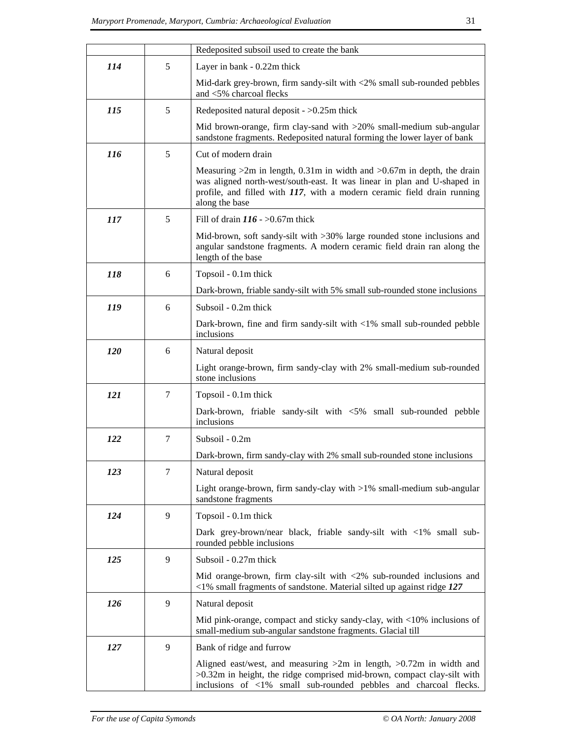|            |                | Redeposited subsoil used to create the bank                                                                                                                                                                                                            |  |  |  |  |
|------------|----------------|--------------------------------------------------------------------------------------------------------------------------------------------------------------------------------------------------------------------------------------------------------|--|--|--|--|
| 114        | 5              | Layer in bank - 0.22m thick                                                                                                                                                                                                                            |  |  |  |  |
|            |                | Mid-dark grey-brown, firm sandy-silt with <2% small sub-rounded pebbles<br>and <5% charcoal flecks                                                                                                                                                     |  |  |  |  |
| <i>115</i> | 5              | Redeposited natural deposit $-$ >0.25m thick                                                                                                                                                                                                           |  |  |  |  |
|            |                | Mid brown-orange, firm clay-sand with >20% small-medium sub-angular<br>sandstone fragments. Redeposited natural forming the lower layer of bank                                                                                                        |  |  |  |  |
| <b>116</b> | 5              | Cut of modern drain                                                                                                                                                                                                                                    |  |  |  |  |
|            |                | Measuring $>2m$ in length, 0.31m in width and $>0.67m$ in depth, the drain<br>was aligned north-west/south-east. It was linear in plan and U-shaped in<br>profile, and filled with $117$ , with a modern ceramic field drain running<br>along the base |  |  |  |  |
| 117        | 5              | Fill of drain $116 - 50.67$ m thick                                                                                                                                                                                                                    |  |  |  |  |
|            |                | Mid-brown, soft sandy-silt with >30% large rounded stone inclusions and<br>angular sandstone fragments. A modern ceramic field drain ran along the<br>length of the base                                                                               |  |  |  |  |
| 118        | 6              | Topsoil - 0.1m thick                                                                                                                                                                                                                                   |  |  |  |  |
|            |                | Dark-brown, friable sandy-silt with 5% small sub-rounded stone inclusions                                                                                                                                                                              |  |  |  |  |
| 119        | 6              | Subsoil - 0.2m thick                                                                                                                                                                                                                                   |  |  |  |  |
|            |                | Dark-brown, fine and firm sandy-silt with $\langle 1\% \rangle$ small sub-rounded pebble<br>inclusions                                                                                                                                                 |  |  |  |  |
| <i>120</i> | 6              | Natural deposit                                                                                                                                                                                                                                        |  |  |  |  |
|            |                | Light orange-brown, firm sandy-clay with 2% small-medium sub-rounded<br>stone inclusions                                                                                                                                                               |  |  |  |  |
| 121        | $\tau$         | Topsoil - 0.1m thick                                                                                                                                                                                                                                   |  |  |  |  |
|            |                | Dark-brown, friable sandy-silt with <5% small sub-rounded pebble<br>inclusions                                                                                                                                                                         |  |  |  |  |
| <i>122</i> | $\overline{7}$ | Subsoil - 0.2m                                                                                                                                                                                                                                         |  |  |  |  |
|            |                | Dark-brown, firm sandy-clay with 2% small sub-rounded stone inclusions                                                                                                                                                                                 |  |  |  |  |
| 123        | $\tau$         | Natural deposit                                                                                                                                                                                                                                        |  |  |  |  |
|            |                | Light orange-brown, firm sandy-clay with $>1\%$ small-medium sub-angular<br>sandstone fragments                                                                                                                                                        |  |  |  |  |
| 124        | 9              | Topsoil - 0.1m thick                                                                                                                                                                                                                                   |  |  |  |  |
|            |                | Dark grey-brown/near black, friable sandy-silt with <1% small sub-<br>rounded pebble inclusions                                                                                                                                                        |  |  |  |  |
| 125        | 9              | Subsoil - 0.27m thick                                                                                                                                                                                                                                  |  |  |  |  |
|            |                | Mid orange-brown, firm clay-silt with $\langle 2\%$ sub-rounded inclusions and<br>$\langle 1\%$ small fragments of sandstone. Material silted up against ridge 127                                                                                     |  |  |  |  |
| 126        | 9              | Natural deposit                                                                                                                                                                                                                                        |  |  |  |  |
|            |                | Mid pink-orange, compact and sticky sandy-clay, with <10% inclusions of<br>small-medium sub-angular sandstone fragments. Glacial till                                                                                                                  |  |  |  |  |
| 127        | 9              | Bank of ridge and furrow                                                                                                                                                                                                                               |  |  |  |  |
|            |                | Aligned east/west, and measuring $>2m$ in length, $>0.72m$ in width and<br>>0.32m in height, the ridge comprised mid-brown, compact clay-silt with<br>inclusions of <1% small sub-rounded pebbles and charcoal flecks.                                 |  |  |  |  |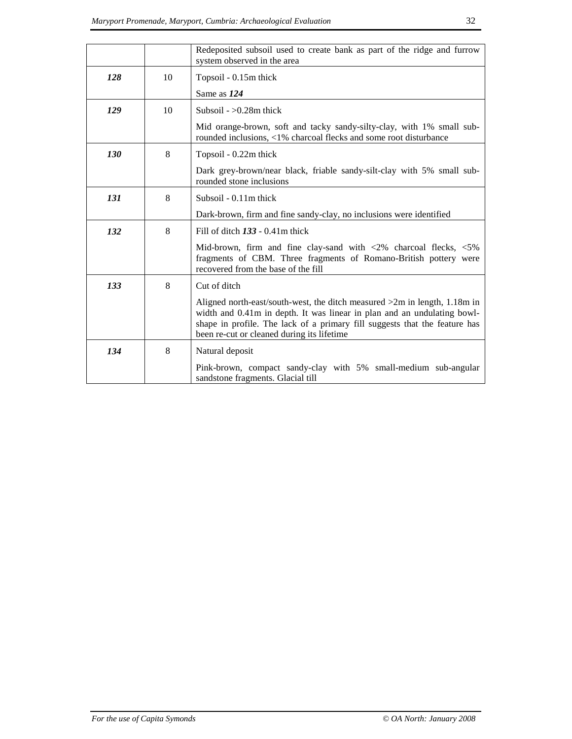|            |    | Redeposited subsoil used to create bank as part of the ridge and furrow<br>system observed in the area                                                                                                                                                                             |  |  |  |
|------------|----|------------------------------------------------------------------------------------------------------------------------------------------------------------------------------------------------------------------------------------------------------------------------------------|--|--|--|
| 128        | 10 | Topsoil - 0.15m thick                                                                                                                                                                                                                                                              |  |  |  |
|            |    | Same as 124                                                                                                                                                                                                                                                                        |  |  |  |
| 129        | 10 | Subsoil $-$ >0.28m thick                                                                                                                                                                                                                                                           |  |  |  |
|            |    | Mid orange-brown, soft and tacky sandy-silty-clay, with 1% small sub-<br>rounded inclusions, <1% charcoal flecks and some root disturbance                                                                                                                                         |  |  |  |
| <b>130</b> | 8  | Topsoil - 0.22m thick                                                                                                                                                                                                                                                              |  |  |  |
|            |    | Dark grey-brown/near black, friable sandy-silt-clay with 5% small sub-<br>rounded stone inclusions                                                                                                                                                                                 |  |  |  |
| 131        | 8  | Subsoil - 0.11m thick                                                                                                                                                                                                                                                              |  |  |  |
|            |    | Dark-brown, firm and fine sandy-clay, no inclusions were identified                                                                                                                                                                                                                |  |  |  |
| 132        | 8  | Fill of ditch $133 - 0.41$ m thick                                                                                                                                                                                                                                                 |  |  |  |
|            |    | Mid-brown, firm and fine clay-sand with $\langle 2\%$ charcoal flecks, $\langle 5\%$<br>fragments of CBM. Three fragments of Romano-British pottery were<br>recovered from the base of the fill                                                                                    |  |  |  |
| 133        | 8  | Cut of ditch                                                                                                                                                                                                                                                                       |  |  |  |
|            |    | Aligned north-east/south-west, the ditch measured $>2m$ in length, 1.18m in<br>width and 0.41m in depth. It was linear in plan and an undulating bowl-<br>shape in profile. The lack of a primary fill suggests that the feature has<br>been re-cut or cleaned during its lifetime |  |  |  |
| 134        | 8  | Natural deposit                                                                                                                                                                                                                                                                    |  |  |  |
|            |    | Pink-brown, compact sandy-clay with 5% small-medium sub-angular<br>sandstone fragments. Glacial till                                                                                                                                                                               |  |  |  |